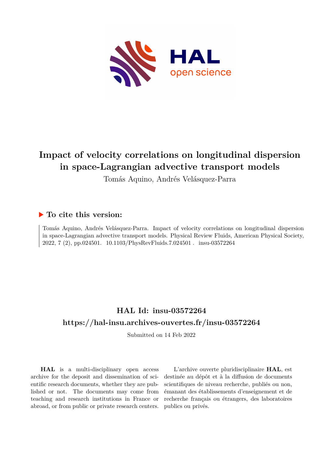

# **Impact of velocity correlations on longitudinal dispersion in space-Lagrangian advective transport models**

Tomás Aquino, Andrés Velásquez-Parra

### **To cite this version:**

Tomás Aquino, Andrés Velásquez-Parra. Impact of velocity correlations on longitudinal dispersion in space-Lagrangian advective transport models. Physical Review Fluids, American Physical Society, 2022, 7 (2), pp.024501. 10.1103/PhysRevFluids.7.024501. insu-03572264

## **HAL Id: insu-03572264 <https://hal-insu.archives-ouvertes.fr/insu-03572264>**

Submitted on 14 Feb 2022

**HAL** is a multi-disciplinary open access archive for the deposit and dissemination of scientific research documents, whether they are published or not. The documents may come from teaching and research institutions in France or abroad, or from public or private research centers.

L'archive ouverte pluridisciplinaire **HAL**, est destinée au dépôt et à la diffusion de documents scientifiques de niveau recherche, publiés ou non, émanant des établissements d'enseignement et de recherche français ou étrangers, des laboratoires publics ou privés.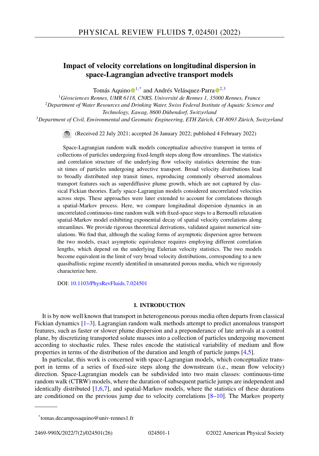### **Impact of velocity correlations on longitudinal dispersion in space-Lagrangian advective transport models**

Tomás Aquino  $\mathbf{D}^{1,*}$  $\mathbf{D}^{1,*}$  $\mathbf{D}^{1,*}$  [a](https://orcid.org/0000-0003-0960-3951)nd Andrés Velásquez-Parra  $\mathbf{D}^{2,3}$ 

*Géosciences Rennes, UMR 6118, CNRS, Université de Rennes 1, 35000 Rennes, France Department of Water Resources and Drinking Water, Swiss Federal Institute of Aquatic Science and Technology, Eawag, 8600 Dübendorf, Switzerland Department of Civil, Environmental and Geomatic Engineering, ETH Zürich, CH-8093 Zürich, Switzerland*

(Received 22 July 2021; accepted 26 January 2022; published 4 February 2022)

Space-Lagrangian random walk models conceptualize advective transport in terms of collections of particles undergoing fixed-length steps along flow streamlines. The statistics and correlation structure of the underlying flow velocity statistics determine the transit times of particles undergoing advective transport. Broad velocity distributions lead to broadly distributed step transit times, reproducing commonly observed anomalous transport features such as superdiffusive plume growth, which are not captured by classical Fickian theories. Early space-Lagrangian models considered uncorrelated velocities across steps. These approaches were later extended to account for correlations through a spatial-Markov process. Here, we compare longitudinal dispersion dynamics in an uncorrelated continuous-time random walk with fixed-space steps to a Bernoulli relaxation spatial-Markov model exhibiting exponential decay of spatial velocity correlations along streamlines. We provide rigorous theoretical derivations, validated against numerical simulations. We find that, although the scaling forms of asymptotic dispersion agree between the two models, exact asymptotic equivalence requires employing different correlation lengths, which depend on the underlying Eulerian velocity statistics. The two models become equivalent in the limit of very broad velocity distributions, corresponding to a new quasiballistic regime recently identified in unsaturated porous media, which we rigorously characterize here.

DOI: [10.1103/PhysRevFluids.7.024501](https://doi.org/10.1103/PhysRevFluids.7.024501)

#### **I. INTRODUCTION**

It is by now well known that transport in heterogeneous porous media often departs from classical Fickian dynamics [1–3]. Lagrangian random walk methods attempt to predict anomalous transport features, such as faster or slower plume dispersion and a preponderance of late arrivals at a control plane, by discretizing transported solute masses into a collection of particles undergoing movement according to stochastic rules. These rules encode the statistical variability of medium and flow properties in terms of the distribution of the duration and length of particle jumps [4,5].

In particular, this work is concerned with space-Lagrangian models, which conceptualize transport in terms of a series of fixed-size steps along the downstream (i.e., mean flow velocity) direction. Space-Lagrangian models can be subdivided into two main classes: continuous-time random walk (CTRW) models, where the duration of subsequent particle jumps are independent and identically distributed [1,6,7], and spatial-Markov models, where the statistics of these durations are conditioned on the previous jump due to velocity correlations  $[8-10]$ . The Markov property

<sup>\*</sup>tomas.decamposaquino@univ-rennes1.fr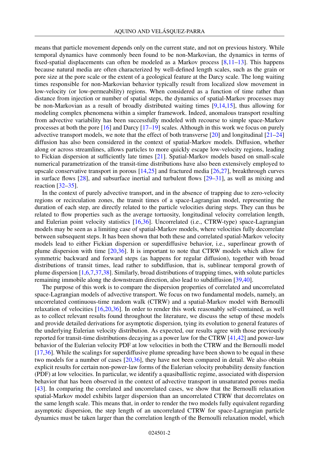means that particle movement depends only on the current state, and not on previous history. While temporal dynamics have commonly been found to be non-Markovian, the dynamics in terms of fixed-spatial displacements can often be modeled as a Markov process  $[8,11-13]$ . This happens because natural media are often characterized by well-defined length scales, such as the grain or pore size at the pore scale or the extent of a geological feature at the Darcy scale. The long waiting times responsible for non-Markovian behavior typically result from localized slow movement in low-velocity (or low-permeability) regions. When considered as a function of time rather than distance from injection or number of spatial steps, the dynamics of spatial-Markov processes may be non-Markovian as a result of broadly distributed waiting times [9,14,15], thus allowing for modeling complex phenomena within a simpler framework. Indeed, anomalous transport resulting from advective variability has been successfully modeled with recourse to simple space-Markov processes at both the pore [16] and Darcy [17–19] scales. Although in this work we focus on purely advective transport models, we note that the effect of both transverse  $[20]$  and longitudinal  $[21-24]$ diffusion has also been considered in the context of spatial-Markov models. Diffusion, whether along or across streamlines, allows particles to more quickly escape low-velocity regions, leading to Fickian dispersion at sufficiently late times [21]. Spatial-Markov models based on small-scale numerical parametrization of the transit-time distributions have also been extensively employed to upscale conservative transport in porous [14,25] and fractured media [26,27], breakthrough curves in surface flows  $[28]$ , and subsurface inertial and turbulent flows  $[29-31]$ , as well as mixing and reaction  $\left[32 - 35\right]$ .

In the context of purely advective transport, and in the absence of trapping due to zero-velocity regions or recirculation zones, the transit times of a space-Lagrangian model, representing the duration of each step, are directly related to the particle velocities during steps. They can thus be related to flow properties such as the average tortuosity, longitudinal velocity correlation length, and Eulerian point velocity statistics [16,36]. Uncorrelated (i.e., CTRW-type) space-Lagrangian models may be seen as a limiting case of spatial-Markov models, where velocities fully decorrelate between subsequent steps. It has been shown that both these and correlated spatial-Markov velocity models lead to either Fickian dispersion or superdiffusive behavior, i.e., superlinear growth of plume dispersion with time [20,36]. It is important to note that CTRW models which allow for symmetric backward and forward steps (as happens for regular diffusion), together with broad distributions of transit times, lead rather to subdiffusion, that is, sublinear temporal growth of plume dispersion [1,6,7,37,38]. Similarly, broad distributions of trapping times, with solute particles remaining immobile along the downstream direction, also lead to subdiffusion [39,40].

The purpose of this work is to compare the dispersion properties of correlated and uncorrelated space-Lagrangian models of advective transport. We focus on two fundamental models, namely, an uncorrelated continuous-time random walk (CTRW) and a spatial-Markov model with Bernoulli relaxation of velocities [16,20,36]. In order to render this work reasonably self-contained, as well as to collect relevant results found throughout the literature, we discuss the setup of these models and provide detailed derivations for asymptotic dispersion, tying its evolution to general features of the underlying Eulerian velocity distribution. As expected, our results agree with those previously reported for transit-time distributions decaying as a power law for the CTRW [41,42] and power-law behavior of the Eulerian velocity PDF at low velocities in both the CTRW and the Bernoulli model [17,36]. While the scalings for superdiffusive plume spreading have been shown to be equal in these two models for a number of cases [20,36], they have not been compared in detail. We also obtain explicit results for certain non-power-law forms of the Eulerian velocity probability density function (PDF) at low velocities. In particular, we identify a quasiballistic regime, associated with dispersion behavior that has been observed in the context of advective transport in unsaturated porous media [43]. In comparing the correlated and uncorrelated cases, we show that the Bernoulli relaxation spatial-Markov model exhibits larger dispersion than an uncorrelated CTRW that decorrelates on the same length scale. This means that, in order to render the two models fully equivalent regarding asymptotic dispersion, the step length of an uncorrelated CTRW for space-Lagrangian particle dynamics must be taken larger than the correlation length of the Bernoulli relaxation model, which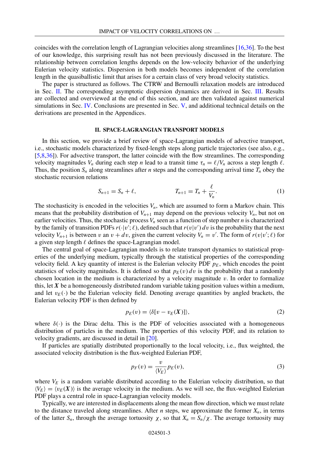coincides with the correlation length of Lagrangian velocities along streamlines [16,36]. To the best of our knowledge, this surprising result has not been previously discussed in the literature. The relationship between correlation lengths depends on the low-velocity behavior of the underlying Eulerian velocity statistics. Dispersion in both models becomes independent of the correlation length in the quasiballistic limit that arises for a certain class of very broad velocity statistics.

The paper is structured as follows. The CTRW and Bernoulli relaxation models are introduced in Sec. II. The corresponding asymptotic dispersion dynamics are derived in Sec. III. Results are collected and overviewed at the end of this section, and are then validated against numerical simulations in Sec. IV. Conclusions are presented in Sec. V, and additional technical details on the derivations are presented in the Appendices.

#### **II. SPACE-LAGRANGIAN TRANSPORT MODELS**

In this section, we provide a brief review of space-Lagrangian models of advective transport, i.e., stochastic models characterized by fixed-length steps along particle trajectories (see also, e.g., [5,8,36]). For advective transport, the latter coincide with the flow streamlines. The corresponding velocity magnitudes  $V_n$  during each step *n* lead to a transit time  $\tau_n = \ell/V_n$  across a step length  $\ell$ . Thus, the position  $S_n$  along streamlines after *n* steps and the corresponding arrival time  $T_n$  obey the stochastic recursion relations

$$
S_{n+1} = S_n + \ell, \qquad T_{n+1} = T_n + \frac{\ell}{V_n}.
$$
 (1)

The stochasticity is encoded in the velocities  $V_n$ , which are assumed to form a Markov chain. This means that the probability distribution of  $V_{n+1}$  may depend on the previous velocity  $V_n$ , but not on earlier velocities. Thus, the stochastic process  $V_n$  seen as a function of step number  $n$  is characterized by the family of transition PDFs  $r(\cdot|v';\ell)$ , defined such that  $r(v|v') dv$  is the probability that the next velocity  $V_{n+1}$  is between *v* an  $v + dv$ , given the current velocity  $V_n = v'$ . The form of  $r(v|v';\ell)$  for a given step length  $\ell$  defines the space-Lagrangian model.

The central goal of space-Lagrangian models is to relate transport dynamics to statistical properties of the underlying medium, typically through the statistical properties of the corresponding velocity field. A key quantity of interest is the Eulerian velocity PDF  $p_E$ , which encodes the point statistics of velocity magnitudes. It is defined so that  $p_E(v) dv$  is the probability that a randomly chosen location in the medium is characterized by a velocity magnitude  $v$ . In order to formalize this, let  $X$  be a homogeneously distributed random variable taking position values within a medium, and let  $v_E(\cdot)$  be the Eulerian velocity field. Denoting average quantities by angled brackets, the Eulerian velocity PDF is then defined by

$$
p_E(v) = \langle \delta[v - v_E(X)] \rangle, \tag{2}
$$

where  $\delta(\cdot)$  is the Dirac delta. This is the PDF of velocities associated with a homogeneous distribution of particles in the medium. The properties of this velocity PDF, and its relation to velocity gradients, are discussed in detail in [20].

If particles are spatially distributed proportionally to the local velocity, i.e., flux weighted, the associated velocity distribution is the flux-weighted Eulerian PDF,

$$
p_F(v) = \frac{v}{\langle V_E \rangle} p_E(v),\tag{3}
$$

where  $V_E$  is a random variable distributed according to the Eulerian velocity distribution, so that  $\langle V_E \rangle = \langle v_E(X) \rangle$  is the average velocity in the medium. As we will see, the flux-weighted Eulerian PDF plays a central role in space-Lagrangian velocity models.

Typically, we are interested in displacements along the mean flow direction, which we must relate to the distance traveled along streamlines. After  $n$  steps, we approximate the former  $X_n$ , in terms of the latter  $S_n$ , through the average tortuosity  $\chi$ , so that  $X_n = S_n/\chi$ . The average tortuosity may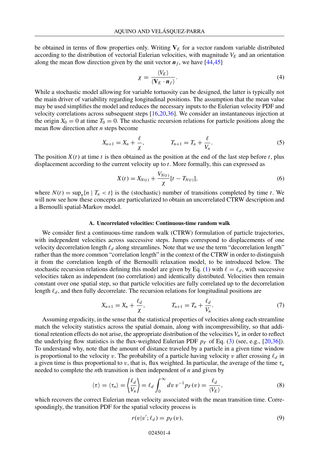be obtained in terms of flow properties only. Writing  $V<sub>E</sub>$  for a vector random variable distributed according to the distribution of vectorial Eulerian velocities, with magnitude  $V_E$  and an orientation along the mean flow direction given by the unit vector  $n_f$ , we have [44,45]

$$
\chi = \frac{\langle V_E \rangle}{\langle V_E \cdot \mathbf{n}_f \rangle}.
$$
\n(4)

While a stochastic model allowing for variable tortuosity can be designed, the latter is typically not the main driver of variability regarding longitudinal positions. The assumption that the mean value may be used simplifies the model and reduces the necessary inputs to the Eulerian velocity PDF and velocity correlations across subsequent steps [16,20,36]. We consider an instantaneous injection at the origin  $X_0 = 0$  at time  $T_0 = 0$ . The stochastic recursion relations for particle positions along the mean flow direction after *n* steps become

$$
X_{n+1} = X_n + \frac{\ell}{\chi}, \qquad T_{n+1} = T_n + \frac{\ell}{V_n}.
$$
 (5)

The position  $X(t)$  at time *t* is then obtained as the position at the end of the last step before *t*, plus displacement according to the current velocity up to *t*. More formally, this can expressed as

$$
X(t) = X_{N(t)} + \frac{V_{N(t)}}{\chi} [t - T_{N(t)}],
$$
\n(6)

where  $N(t) = \sup_n\{n \mid T_n < t\}$  is the (stochastic) number of transitions completed by time *t*. We will now see how these concepts are particularized to obtain an uncorrelated CTRW description and a Bernoulli spatial-Markov model.

#### **A. Uncorrelated velocities: Continuous-time random walk**

We consider first a continuous-time random walk (CTRW) formulation of particle trajectories, with independent velocities across successive steps. Jumps correspond to displacements of one velocity decorrelation length  $\ell_d$  along streamlines. Note that we use the term "decorrelation length" rather than the more common "correlation length" in the context of the CTRW in order to distinguish it from the correlation length of the Bernoulli relaxation model, to be introduced below. The stochastic recursion relations defining this model are given by Eq. (1) with  $\ell = \ell_d$ , with successive velocities taken as independent (no correlation) and identically distributed. Velocities then remain constant over one spatial step, so that particle velocities are fully correlated up to the decorrelation length  $\ell_d$ , and then fully decorrelate. The recursion relations for longitudinal positions are

$$
X_{n+1} = X_n + \frac{\ell_d}{\chi}, \qquad T_{n+1} = T_n + \frac{\ell_d}{V_n}.
$$
 (7)

Assuming ergodicity, in the sense that the statistical properties of velocities along each streamline match the velocity statistics across the spatial domain, along with incompressibility, so that additional retention effects do not arise, the appropriate distribution of the velocities  $V_n$  in order to reflect the underlying flow statistics is the flux-weighted Eulerian PDF  $p_F$  of Eq. (3) (see, e.g., [20,36]). To understand why, note that the amount of distance traveled by a particle in a given time window is proportional to the velocity *v*. The probability of a particle having velocity *v* after crossing  $\ell_d$  in a given time is thus proportional to *v*, that is, flux weighted. In particular, the average of the time  $\tau_n$ needed to complete the *n*th transition is then independent of *n* and given by

$$
\langle \tau \rangle = \langle \tau_n \rangle = \left\langle \frac{\ell_d}{V_n} \right\rangle = \ell_d \int_0^\infty dv \, v^{-1} p_F(v) = \frac{\ell_d}{\langle V_E \rangle},\tag{8}
$$

which recovers the correct Eulerian mean velocity associated with the mean transition time. Correspondingly, the transition PDF for the spatial velocity process is

$$
r(v|v'; \ell_d) = p_F(v),\tag{9}
$$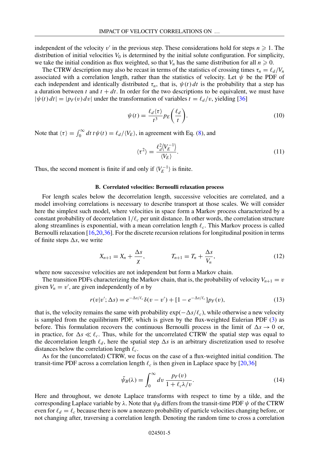independent of the velocity  $v'$  in the previous step. These considerations hold for steps  $n \geq 1$ . The distribution of initial velocities  $V_0$  is determined by the initial solute configuration. For simplicity, we take the initial condition as flux weighted, so that  $V_n$  has the same distribution for all  $n \geq 0$ .

The CTRW description may also be recast in terms of the statistics of crossing times  $\tau_n = \ell_d/V_n$ associated with a correlation length, rather than the statistics of velocity. Let  $\psi$  be the PDF of each independent and identically distributed  $\tau_n$ , that is,  $\psi(t) dt$  is the probability that a step has a duration between *t* and  $t + dt$ . In order for the two descriptions to be equivalent, we must have  $|\psi(t) dt| = |p_F(v) dv|$  under the transformation of variables  $t = \ell_d/v$ , yielding [36]

$$
\psi(t) = \frac{\ell_d \langle \tau \rangle}{t^3} p_E \left( \frac{\ell_d}{t} \right). \tag{10}
$$

Note that  $\langle \tau \rangle = \int_0^\infty dt \, t \psi(t) = \ell_d / \langle V_E \rangle$ , in agreement with Eq. (8), and

$$
\langle \tau^2 \rangle = \frac{\ell_d^2 \langle V_E^{-1} \rangle}{\langle V_E \rangle}.
$$
\n(11)

Thus, the second moment is finite if and only if  $\langle V_E^{-1} \rangle$  is finite.

#### **B. Correlated velocities: Bernoulli relaxation process**

For length scales below the decorrelation length, successive velocities are correlated, and a model involving correlations is necessary to describe transport at those scales. We will consider here the simplest such model, where velocities in space form a Markov process characterized by a constant probability of decorrelation  $1/\ell_c$  per unit distance. In other words, the correlation structure along streamlines is exponential, with a mean correlation length  $\ell_c$ . This Markov process is called Bernoulli relaxation [16,20,36]. For the discrete recursion relations for longitudinal position in terms of finite steps  $\Delta s$ , we write

$$
X_{n+1} = X_n + \frac{\Delta s}{\chi}, \qquad T_{n+1} = T_n + \frac{\Delta s}{V_n}, \qquad (12)
$$

where now successive velocities are not independent but form a Markov chain.

The transition PDFs characterizing the Markov chain, that is, the probability of velocity  $V_{n+1} = v$ given  $V_n = v'$ , are given independently of *n* by

$$
r(v|v';\Delta s) = e^{-\Delta s/\ell_c} \delta(v-v') + [1 - e^{-\Delta s/\ell_c}] p_F(v), \tag{13}
$$

that is, the velocity remains the same with probability  $\exp(-\Delta s/\ell_c)$ , while otherwise a new velocity is sampled from the equilibrium PDF, which is given by the flux-weighted Eulerian PDF (3) as before. This formulation recovers the continuous Bernoulli process in the limit of  $\Delta s \to 0$  or, in practice, for  $\Delta s \ll \ell_c$ . Thus, while for the uncorrelated CTRW the spatial step was equal to the decorrelation length  $\ell_d$ , here the spatial step  $\Delta s$  is an arbitrary discretization used to resolve distances below the correlation length *c*.

As for the (uncorrelated) CTRW, we focus on the case of a flux-weighted initial condition. The transit-time PDF across a correlation length  $\ell_c$  is then given in Laplace space by [20,36]

$$
\tilde{\psi}_B(\lambda) = \int_0^\infty dv \, \frac{p_F(v)}{1 + \ell_c \lambda/v}.\tag{14}
$$

Here and throughout, we denote Laplace transforms with respect to time by a tilde, and the corresponding Laplace variable by  $\lambda$ . Note that  $\psi_B$  differs from the transit-time PDF  $\psi$  of the CTRW even for  $\ell_d = \ell_c$  because there is now a nonzero probability of particle velocities changing before, or not changing after, traversing a correlation length. Denoting the random time to cross a correlation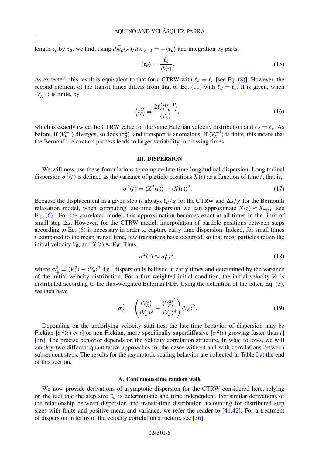length  $\ell_c$  by  $\tau_B$ , we find, using  $d\tilde{\psi}_B(\lambda)/d\lambda|_{\lambda=0} = -\langle \tau_B \rangle$  and integration by parts,

$$
\langle \tau_B \rangle = \frac{\ell_c}{\langle V_E \rangle}.\tag{15}
$$

As expected, this result is equivalent to that for a CTRW with  $\ell_d = \ell_c$  [see Eq. (8)]. However, the second moment of the transit times differs from that of Eq. (11) with  $\ell_d = \ell_c$ . It is given, when  $\langle V_E^{-1} \rangle$  is finite, by

$$
\langle \tau_B^2 \rangle = \frac{2\ell_c^2 \langle V_E^{-1} \rangle}{\langle V_E \rangle},\tag{16}
$$

which is exactly twice the CTRW value for the same Eulerian velocity distribution and  $\ell_d = \ell_c$ . As before, if  $\langle V_E^{-1} \rangle$  diverges, so does  $\langle \tau_B^2 \rangle$ , and transport is anomalous. If  $\langle V_E^{-1} \rangle$  is finite, this means that the Bernoulli relaxation process leads to larger variability in crossing times.

#### **III. DISPERSION**

We will now use these formulations to compute late-time longitudinal dispersion. Longitudinal dispersion  $\sigma^2(t)$  is defined as the variance of particle positions *X*(*t*) as a function of time *t*, that is,

$$
\sigma^{2}(t) = \langle X^{2}(t) \rangle - \langle X(t) \rangle^{2}.
$$
\n(17)

Because the displacement in a given step is always  $\ell_d/\chi$  for the CTRW and  $\Delta s/\chi$  for the Bernoulli relaxation model, when computing late-time dispersion we can approximate  $X(t) \approx X_{N(t)}$  [see Eq. (6)]. For the correlated model, this approximation becomes exact at all times in the limit of small step  $\Delta s$ . However, for the CTRW model, interpolation of particle positions between steps according to Eq. (6) is necessary in order to capture early-time dispersion. Indeed, for small times *t* compared to the mean transit time, few transitions have occurred, so that most particles retain the initial velocity  $V_0$ , and  $X(t) \approx V_0 t$ . Thus,

$$
\sigma^2(t) \approx \sigma_{V_0}^2 t^2, \tag{18}
$$

where  $\sigma_{V_0}^2 = \langle V_0^2 \rangle - \langle V_0 \rangle^2$ , i.e., dispersion is ballistic at early times and determined by the variance of the initial velocity distribution. For a flux-weighted initial condition, the initial velocity  $V_0$  is distributed according to the flux-weighted Eulerian PDF. Using the definition of the latter, Eq. (3), we then have

$$
\sigma_{V_0}^2 = \left(\frac{\langle V_E^3 \rangle}{\langle V_E \rangle^3} - \frac{\langle V_E^2 \rangle^2}{\langle V_E \rangle^4}\right) \langle V_E \rangle^2.
$$
\n(19)

Depending on the underlying velocity statistics, the late-time behavior of dispersion may be Fickian  $[\sigma^2(t) \propto t]$  or non-Fickian, more specifically superdiffusive  $[\sigma^2(t)$  growing faster than *t*] [36]. The precise behavior depends on the velocity correlation structure. In what follows, we will employ two different quantitative approaches for the cases without and with correlations between subsequent steps. The results for the asymptotic scaling behavior are collected in Table I at the end of this section.

#### **A. Continuous-time random walk**

We now provide derivations of asymptotic dispersion for the CTRW considered here, relying on the fact that the step size  $\ell_d$  is deterministic and time independent. For similar derivations of the relationship between dispersion and transit-time distribution accounting for distributed step sizes with finite and positive mean and variance, we refer the reader to [41,42]. For a treatment of dispersion in terms of the velocity correlation structure, see [36].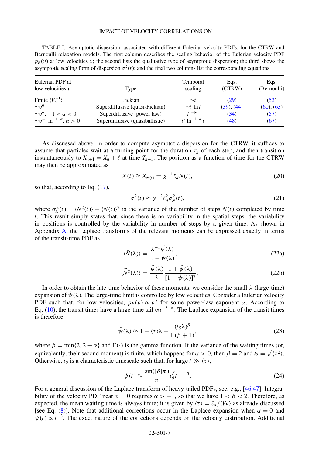TABLE I. Asymptotic dispersion, associated with different Eulerian velocity PDFs, for the CTRW and Bernoulli relaxation models. The first column describes the scaling behavior of the Eulerian velocity PDF  $p_E(v)$  at low velocities *v*; the second lists the qualitative type of asymptotic dispersion; the third shows the asymptotic scaling form of dispersion  $\sigma^2(t)$ ; and the final two columns list the corresponding equations.

| Eulerian PDF at<br>low velocities $v$     | Type                            | Temporal<br>scaling     | Eqs.<br>(CTRW) | Eqs.<br>(Bernoulli) |
|-------------------------------------------|---------------------------------|-------------------------|----------------|---------------------|
| Finite $\langle V_F^{-1} \rangle$         | Fickian                         | $\sim_t$                | (29)           | (53)                |
| $\sim v^{0}$                              | Superdiffusive (quasi-Fickian)  | $\sim_t \ln t$          | (39), (44)     | (60), (63)          |
| $\sim v^{\alpha}$ , $-1 < \alpha < 0$     | Superdiffusive (power law)      | $t^{1+ \alpha }$        | (34)           | (57)                |
| $\sim v^{-1} \ln^{-1-\alpha}, \alpha > 0$ | Superdiffusive (quasiballistic) | $t^2 \ln^{-1-\alpha} t$ | (48)           | (67)                |

As discussed above, in order to compute asymptotic dispersion for the CTRW, it suffices to assume that particles wait at a turning point for the duration  $\tau_n$  of each step, and then transition instantaneously to  $X_{n+1} = X_n + \ell$  at time  $T_{n+1}$ . The position as a function of time for the CTRW may then be approximated as

$$
X(t) \approx X_{N(t)} = \chi^{-1} \ell_d N(t), \qquad (20)
$$

so that, according to Eq. (17),

$$
\sigma^2(t) \approx \chi^{-2} \ell_d^2 \sigma_N^2(t),\tag{21}
$$

where  $\sigma_N^2(t) = \langle N^2(t) \rangle - \langle N(t) \rangle^2$  is the variance of the number of steps  $N(t)$  completed by time *t*. This result simply states that, since there is no variability in the spatial steps, the variability in positions is controlled by the variability in number of steps by a given time. As shown in Appendix A, the Laplace transforms of the relevant moments can be expressed exactly in terms of the transit-time PDF as

$$
\langle \tilde{N}(\lambda) \rangle = \frac{\lambda^{-1} \tilde{\psi}(\lambda)}{1 - \tilde{\psi}(\lambda)},
$$
\n(22a)

$$
\langle \widetilde{N^2}(\lambda) \rangle = \frac{\widetilde{\psi}(\lambda)}{\lambda} \frac{1 + \widetilde{\psi}(\lambda)}{[1 - \widetilde{\psi}(\lambda)]^2}.
$$
 (22b)

In order to obtain the late-time behavior of these moments, we consider the small-λ (large-time) expansion of  $\psi(\lambda)$ . The large-time limit is controlled by low velocities. Consider a Eulerian velocity PDF such that, for low velocities,  $p_E(v) \propto v^{\alpha}$  for some power-law exponent  $\alpha$ . According to Eq. (10), the transit times have a large-time tail  $\propto t^{-3-\alpha}$ . The Laplace expansion of the transit times is therefore

$$
\tilde{\psi}(\lambda) \approx 1 - \langle \tau \rangle \lambda + \frac{(t_{\beta}\lambda)^{\beta}}{\Gamma(\beta + 1)},\tag{23}
$$

where  $\beta = \min\{2, 2 + \alpha\}$  and  $\Gamma(\cdot)$  is the gamma function. If the variance of the waiting times (or, equivalently, their second moment) is finite, which happens for  $\alpha > 0$ , then  $\beta = 2$  and  $t_2 = \sqrt{\langle \tau^2 \rangle}$ . Otherwise,  $t_\beta$  is a characteristic timescale such that, for large  $t \gg \langle \tau \rangle$ ,

$$
\psi(t) \approx \frac{\sin(|\beta|\pi)}{\pi} t_{\beta}^{\beta} t^{-1-\beta}.
$$
\n(24)

For a general discussion of the Laplace transform of heavy-tailed PDFs, see, e.g., [46,47]. Integrability of the velocity PDF near  $v = 0$  requires  $\alpha > -1$ , so that we have  $1 < \beta < 2$ . Therefore, as expected, the mean waiting time is always finite; it is given by  $\langle \tau \rangle = \ell_d / \langle V_E \rangle$  as already discussed [see Eq. (8)]. Note that additional corrections occur in the Laplace expansion when  $\alpha = 0$  and  $\psi(t) \propto t^{-3}$ . The exact nature of the corrections depends on the velocity distribution. Additional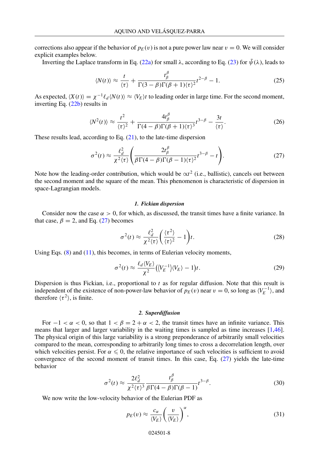corrections also appear if the behavior of  $p_E(v)$  is not a pure power law near  $v = 0$ . We will consider explicit examples below.

Inverting the Laplace transform in Eq. (22a) for small  $\lambda$ , according to Eq. (23) for  $\tilde{\psi}(\lambda)$ , leads to

$$
\langle N(t) \rangle \approx \frac{t}{\langle \tau \rangle} + \frac{t_{\beta}^{\beta}}{\Gamma(3-\beta)\Gamma(\beta+1)\langle \tau \rangle^{2}} t^{2-\beta} - 1. \tag{25}
$$

As expected,  $\langle X(t) \rangle = \chi^{-1} \ell_d \langle N(t) \rangle \approx \langle V_E \rangle t$  to leading order in large time. For the second moment, inverting Eq. (22b) results in

$$
\langle N^2(t)\rangle \approx \frac{t^2}{\langle \tau\rangle^2} + \frac{4t^\beta_\beta}{\Gamma(4-\beta)\Gamma(\beta+1)\langle \tau\rangle^3}t^{3-\beta} - \frac{3t}{\langle \tau\rangle}.\tag{26}
$$

These results lead, according to Eq.  $(21)$ , to the late-time dispersion

$$
\sigma^{2}(t) \approx \frac{\ell_{d}^{2}}{\chi^{2}(\tau)} \left( \frac{2t_{\beta}^{\beta}}{\beta \Gamma(4-\beta)\Gamma(\beta-1)(\tau)^{2}} t^{3-\beta} - t \right). \tag{27}
$$

Note how the leading-order contribution, which would be  $\alpha t^2$  (i.e., ballistic), cancels out between the second moment and the square of the mean. This phenomenon is characteristic of dispersion in space-Lagrangian models.

#### *1. Fickian dispersion*

Consider now the case  $\alpha > 0$ , for which, as discussed, the transit times have a finite variance. In that case,  $\beta = 2$ , and Eq. (27) becomes

$$
\sigma^2(t) \approx \frac{\ell_d^2}{\chi^2(\tau)} \left(\frac{\langle \tau^2 \rangle}{\langle \tau \rangle^2} - 1\right) t.
$$
 (28)

Using Eqs.  $(8)$  and  $(11)$ , this becomes, in terms of Eulerian velocity moments,

$$
\sigma^2(t) \approx \frac{\ell_d \langle V_E \rangle}{\chi^2} \left( \langle V_E^{-1} \rangle \langle V_E \rangle - 1 \right) t. \tag{29}
$$

Dispersion is thus Fickian, i.e., proportional to *t* as for regular diffusion. Note that this result is independent of the existence of non-power-law behavior of  $p_E(v)$  near  $v = 0$ , so long as  $\langle V_E^{-1} \rangle$ , and therefore  $\langle \tau^2 \rangle$ , is finite.

#### *2. Superdiffusion*

For  $-1 < \alpha < 0$ , so that  $1 < \beta = 2 + \alpha < 2$ , the transit times have an infinite variance. This means that larger and larger variability in the waiting times is sampled as time increases [1,46]. The physical origin of this large variability is a strong preponderance of arbitrarily small velocities compared to the mean, corresponding to arbitrarily long times to cross a decorrelation length, over which velocities persist. For  $\alpha \leq 0$ , the relative importance of such velocities is sufficient to avoid convergence of the second moment of transit times. In this case, Eq.  $(27)$  yields the late-time behavior

$$
\sigma^2(t) \approx \frac{2\ell_d^2}{\chi^2 \langle \tau \rangle^3} \frac{t_\beta^\beta}{\beta \Gamma(4-\beta)\Gamma(\beta-1)} t^{3-\beta}.
$$
 (30)

We now write the low-velocity behavior of the Eulerian PDF as

$$
p_E(v) \approx \frac{c_\alpha}{\langle V_E \rangle} \left(\frac{v}{\langle V_E \rangle}\right)^\alpha, \tag{31}
$$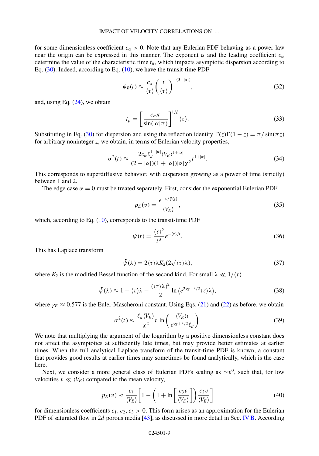for some dimensionless coefficient  $c_{\alpha} > 0$ . Note that any Eulerian PDF behaving as a power law near the origin can be expressed in this manner. The exponent  $\alpha$  and the leading coefficient  $c_{\alpha}$ determine the value of the characteristic time *t*<sup>β</sup> , which impacts asymptotic dispersion according to Eq. (30). Indeed, according to Eq. (10), we have the transit-time PDF

$$
\psi_B(t) \approx \frac{c_\alpha}{\langle \tau \rangle} \left(\frac{t}{\langle \tau \rangle}\right)^{-(3-|\alpha|)},\tag{32}
$$

and, using Eq. (24), we obtain

$$
t_{\beta} = \left[\frac{c_{\alpha}\pi}{\sin(|\alpha|\pi)}\right]^{1/\beta} \langle \tau \rangle.
$$
 (33)

Substituting in Eq. (30) for dispersion and using the reflection identity  $\Gamma(z)\Gamma(1-z) = \pi / \sin(\pi z)$ for arbitrary noninteger *z*, we obtain, in terms of Eulerian velocity properties,

$$
\sigma^{2}(t) \approx \frac{2c_{\alpha} \ell_{d}^{1-|\alpha|} \langle V_{E} \rangle^{1+|\alpha|}}{(2-|\alpha|)(1+|\alpha|)|\alpha|\chi^{2}} t^{1+|\alpha|}.
$$
\n(34)

This corresponds to superdiffusive behavior, with dispersion growing as a power of time (strictly) between 1 and 2.

The edge case  $\alpha = 0$  must be treated separately. First, consider the exponential Eulerian PDF

$$
p_E(v) = \frac{e^{-v/\langle V_E \rangle}}{\langle V_E \rangle},\tag{35}
$$

which, according to Eq.  $(10)$ , corresponds to the transit-time PDF

$$
\psi(t) = \frac{\langle \tau \rangle^2}{t^3} e^{-\langle \tau \rangle / t}.
$$
\n(36)

This has Laplace transform

$$
\tilde{\psi}(\lambda) = 2\langle \tau \rangle \lambda K_2(2\sqrt{\langle \tau \rangle \lambda}),\tag{37}
$$

where  $K_2$  is the modified Bessel function of the second kind. For small  $\lambda \ll 1/\langle \tau \rangle$ ,

$$
\tilde{\psi}(\lambda) \approx 1 - \langle \tau \rangle \lambda - \frac{(\langle \tau \rangle \lambda)^2}{2} \ln \left( e^{2\gamma_E - 3/2} \langle \tau \rangle \lambda \right),\tag{38}
$$

where  $\gamma_E \approx 0.577$  is the Euler-Mascheroni constant. Using Eqs. (21) and (22) as before, we obtain

$$
\sigma^2(t) \approx \frac{\ell_d \langle V_E \rangle}{\chi^2} t \ln \left( \frac{\langle V_E \rangle t}{e^{\gamma_E + 3/2} \ell_d} \right). \tag{39}
$$

We note that multiplying the argument of the logarithm by a positive dimensionless constant does not affect the asymptotics at sufficiently late times, but may provide better estimates at earlier times. When the full analytical Laplace transform of the transit-time PDF is known, a constant that provides good results at earlier times may sometimes be found analytically, which is the case here.

Next, we consider a more general class of Eulerian PDFs scaling as ∼*v*<sup>0</sup>, such that, for low velocities  $v \ll \langle V_E \rangle$  compared to the mean velocity,

$$
p_E(v) \approx \frac{c_1}{\langle V_E \rangle} \left[ 1 - \left( 1 + \ln \left[ \frac{c_3 v}{\langle V_E \rangle} \right] \right) \frac{c_2 v}{\langle V_E \rangle} \right] \tag{40}
$$

for dimensionless coefficients  $c_1, c_2, c_3 > 0$ . This form arises as an approximation for the Eulerian PDF of saturated flow in 2*d* porous media [43], as discussed in more detail in Sec. IV B. According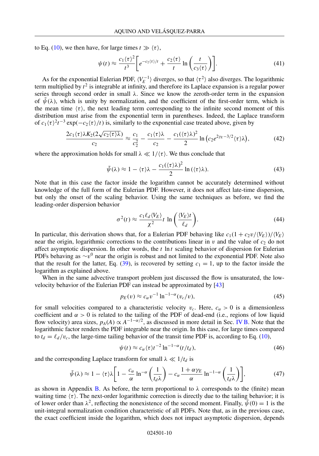to Eq. (10), we then have, for large times  $t \gg \langle \tau \rangle$ ,

$$
\psi(t) \approx \frac{c_1 \langle \tau \rangle^2}{t^3} \bigg[ e^{-c_2 \langle \tau \rangle / t} + \frac{c_2 \langle \tau \rangle}{t} \ln \left( \frac{t}{c_3 \langle \tau \rangle} \right) \bigg]. \tag{41}
$$

As for the exponential Eulerian PDF,  $\langle V_E^{-1} \rangle$  diverges, so that  $\langle \tau^2 \rangle$  also diverges. The logarithmic term multiplied by  $t^2$  is integrable at infinity, and therefore its Laplace expansion is a regular power series through second order in small λ. Since we know the zeroth-order term in the expansion of  $\tilde{\psi}(\lambda)$ , which is unity by normalization, and the coefficient of the first-order term, which is the mean time  $\langle \tau \rangle$ , the next leading term corresponding to the infinite second moment of this distribution must arise from the exponential term in parentheses. Indeed, the Laplace transform of  $c_1 \langle \tau \rangle^2 t^{-3} \exp(-c_2 \langle \tau \rangle /t)$  is, similarly to the exponential case treated above, given by

$$
\frac{2c_1\langle\tau\rangle\lambda K_2(2\sqrt{c_2\langle\tau\rangle\lambda})}{c_2} \approx \frac{c_1}{c_2^2} - \frac{c_1\langle\tau\rangle\lambda}{c_2} - \frac{c_1(\langle\tau\rangle\lambda)^2}{2}\ln\left(c_2e^{2\gamma_E-3/2}\langle\tau\rangle\lambda\right),\tag{42}
$$

where the approximation holds for small  $\lambda \ll 1/\langle \tau \rangle$ . We thus conclude that

$$
\tilde{\psi}(\lambda) \approx 1 - \langle \tau \rangle \lambda - \frac{c_1(\langle \tau \rangle \lambda)^2}{2} \ln(\langle \tau \rangle \lambda). \tag{43}
$$

Note that in this case the factor inside the logarithm cannot be accurately determined without knowledge of the full form of the Eulerian PDF. However, it does not affect late-time dispersion, but only the onset of the scaling behavior. Using the same techniques as before, we find the leading-order dispersion behavior

$$
\sigma^2(t) \approx \frac{c_1 \ell_d \langle V_E \rangle}{\chi^2} t \ln \left( \frac{\langle V_E \rangle t}{\ell_d} \right). \tag{44}
$$

In particular, this derivation shows that, for a Eulerian PDF behaving like  $c_1(1 + c_2\nu/\langle V_E \rangle)/\langle V_E \rangle$ near the origin, logarithmic corrections to the contributions linear in  $\nu$  and the value of  $c_2$  do not affect asymptotic dispersion. In other words, the *t* ln *t* scaling behavior of dispersion for Eulerian PDFs behaving as  $\sim v^0$  near the origin is robust and not limited to the exponential PDF. Note also that the result for the latter, Eq. (39), is recovered by setting  $c_1 = 1$ , up to the factor inside the logarithm as explained above.

When in the same advective transport problem just discussed the flow is unsaturated, the lowvelocity behavior of the Eulerian PDF can instead be approximated by [43]

$$
p_E(v) \approx c_\alpha v^{-1} \ln^{-1-\alpha}(v_c/v),\tag{45}
$$

for small velocities compared to a characteristic velocity  $v_c$ . Here,  $c_\alpha > 0$  is a dimensionless coefficient and  $\alpha > 0$  is related to the tailing of the PDF of dead-end (i.e., regions of low liquid flow velocity) area sizes,  $p_A(A) \propto A^{-1-\alpha/2}$ , as discussed in more detail in Sec. IV B. Note that the logarithmic factor renders the PDF integrable near the origin. In this case, for large times compared to  $t_d = \ell_d/v_c$ , the large-time tailing behavior of the transit time PDF is, according to Eq. (10),

$$
\psi(t) \approx c_{\alpha} \langle \tau \rangle t^{-2} \ln^{-1-\alpha}(t/t_d),\tag{46}
$$

and the corresponding Laplace transform for small  $\lambda \ll 1/t_d$  is

$$
\tilde{\psi}(\lambda) \approx 1 - \langle \tau \rangle \lambda \left[ 1 - \frac{c_{\alpha}}{\alpha} \ln^{-\alpha} \left( \frac{1}{t_d \lambda} \right) - c_{\alpha} \frac{1 + \alpha \gamma_E}{\alpha} \ln^{-1-\alpha} \left( \frac{1}{t_d \lambda} \right) \right],\tag{47}
$$

as shown in Appendix B. As before, the term proportional to  $\lambda$  corresponds to the (finite) mean waiting time  $\langle \tau \rangle$ . The next-order logarithmic correction is directly due to the tailing behavior; it is of lower order than  $\lambda^2$ , reflecting the nonexistence of the second moment. Finally,  $\tilde{\psi}(0) = 1$  is the unit-integral normalization condition characteristic of all PDFs. Note that, as in the previous case, the exact coefficient inside the logarithm, which does not impact asymptotic dispersion, depends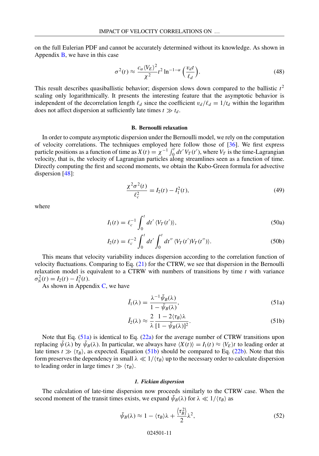on the full Eulerian PDF and cannot be accurately determined without its knowledge. As shown in Appendix  $\bf{B}$ , we have in this case

$$
\sigma^2(t) \approx \frac{c_\alpha \langle V_E \rangle^2}{\chi^2} t^2 \ln^{-1-\alpha} \left( \frac{v_d t}{\ell_d} \right). \tag{48}
$$

This result describes quasiballistic behavior; dispersion slows down compared to the ballistic  $t^2$ scaling only logarithmically. It presents the interesting feature that the asymptotic behavior is independent of the decorrelation length  $\ell_d$  since the coefficient  $v_d/\ell_d = 1/t_d$  within the logarithm does not affect dispersion at sufficiently late times  $t \gg t_d$ .

#### **B. Bernoulli relaxation**

In order to compute asymptotic dispersion under the Bernoulli model, we rely on the computation of velocity correlations. The techniques employed here follow those of [36]. We first express particle positions as a function of time as  $X(t) = \chi^{-1} \int_0^t dt' V_T(t')$ , where  $V_T$  is the time-Lagrangian velocity, that is, the velocity of Lagrangian particles along streamlines seen as a function of time. Directly computing the first and second moments, we obtain the Kubo-Green formula for advective dispersion [48]:

$$
\frac{\chi^2 \sigma^2(t)}{\ell_c^2} = I_2(t) - I_1^2(t),\tag{49}
$$

where

$$
I_1(t) = \ell_c^{-1} \int_0^t dt' \langle V_T(t') \rangle,
$$
\n(50a)

$$
I_2(t) = \ell_c^{-2} \int_0^t dt' \int_0^t dt'' \langle V_T(t')V_T(t'')\rangle.
$$
 (50b)

This means that velocity variability induces dispersion according to the correlation function of velocity fluctuations. Comparing to Eq. (21) for the CTRW, we see that dispersion in the Bernoulli relaxation model is equivalent to a CTRW with numbers of transitions by time *t* with variance  $\sigma_N^2(t) = I_2(t) - I_1^2(t).$ 

As shown in Appendix  $C$ , we have

$$
\tilde{I}_1(\lambda) = \frac{\lambda^{-1} \tilde{\psi}_B(\lambda)}{1 - \tilde{\psi}_B(\lambda)},
$$
\n(51a)

$$
\tilde{I}_2(\lambda) \approx \frac{2}{\lambda} \frac{1 - 2\langle \tau_B \rangle \lambda}{[1 - \tilde{\psi}_B(\lambda)]^2}.
$$
\n(51b)

Note that Eq. (51a) is identical to Eq. (22a) for the average number of CTRW transitions upon replacing  $\bar{\psi}(\lambda)$  by  $\bar{\psi}_B(\lambda)$ . In particular, we always have  $\langle X(t) \rangle = I_1(t) \approx \langle V_E \rangle t$  to leading order at late times  $t \gg \langle \tau_B \rangle$ , as expected. Equation (51b) should be compared to Eq. (22b). Note that this form preserves the dependency in small  $\lambda \ll 1/\langle \tau_B \rangle$  up to the necessary order to calculate dispersion to leading order in large times  $t \gg \langle \tau_B \rangle$ .

#### *1. Fickian dispersion*

The calculation of late-time dispersion now proceeds similarly to the CTRW case. When the second moment of the transit times exists, we expand  $\tilde{\psi}_B(\lambda)$  for  $\lambda \ll 1/\langle \tau_B \rangle$  as

$$
\tilde{\psi}_B(\lambda) \approx 1 - \langle \tau_B \rangle \lambda + \frac{\langle \tau_B^2 \rangle}{2} \lambda^2,\tag{52}
$$

#### 024501-11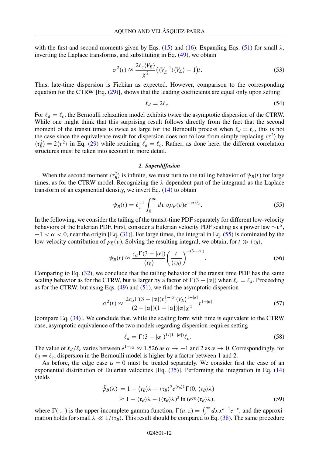with the first and second moments given by Eqs. (15) and (16). Expanding Eqs. (51) for small  $\lambda$ , inverting the Laplace transforms, and substituting in Eq. (49), we obtain

$$
\sigma^2(t) \approx \frac{2\ell_c \langle V_E \rangle}{\chi^2} \left( \langle V_E^{-1} \rangle \langle V_E \rangle - 1 \right) t. \tag{53}
$$

Thus, late-time dispersion is Fickian as expected. However, comparison to the corresponding equation for the CTRW [Eq. (29)], shows that the leading coefficients are equal only upon setting

$$
\ell_d = 2\ell_c. \tag{54}
$$

For  $\ell_d = \ell_c$ , the Bernoulli relaxation model exhibits twice the asymptotic dispersion of the CTRW. While one might think that this surprising result follows directly from the fact that the second moment of the transit times is twice as large for the Bernoulli process when  $\ell_d = \ell_c$ , this is not the case since the equivalence result for dispersion does not follow from simply replacing  $\langle \tau^2 \rangle$  by  $\langle \tau_B^2 \rangle = 2 \langle \tau^2 \rangle$  in Eq. (29) while retaining  $\ell_d = \ell_c$ . Rather, as done here, the different correlation structures must be taken into account in more detail.

#### *2. Superdiffusion*

When the second moment  $\langle \tau_B^2 \rangle$  is infinite, we must turn to the tailing behavior of  $\psi_B(t)$  for large times, as for the CTRW model. Recognizing the  $\lambda$ -dependent part of the integrand as the Laplace transform of an exponential density, we invert Eq. (14) to obtain

$$
\psi_B(t) = \ell_c^{-1} \int_0^\infty dv \, v p_F(v) e^{-vt/\ell_c}.
$$
\n
$$
(55)
$$

In the following, we consider the tailing of the transit-time PDF separately for different low-velocity behaviors of the Eulerian PDF. First, consider a Eulerian velocity PDF scaling as a power law ∼*v*<sup>α</sup>,  $-1 < \alpha < 0$ , near the origin [Eq. (31)]. For large times, the integral in Eq. (55) is dominated by the low-velocity contribution of  $p_E(v)$ . Solving the resulting integral, we obtain, for  $t \gg \langle \tau_B \rangle$ ,

$$
\psi_B(t) \approx \frac{c_\alpha \Gamma(3 - |\alpha|)}{\langle \tau_B \rangle} \left(\frac{t}{\langle \tau_B \rangle}\right)^{-(3 - |\alpha|)}.\tag{56}
$$

Comparing to Eq. (32), we conclude that the tailing behavior of the transit time PDF has the same scaling behavior as for the CTRW, but is larger by a factor of  $\Gamma(3 - |\alpha|)$  when  $\ell_c = \ell_d$ . Proceeding as for the CTRW, but using Eqs.  $(49)$  and  $(51)$ , we find the asymptotic dispersion

$$
\sigma^{2}(t) \approx \frac{2c_{\alpha}\Gamma(3-|\alpha|)\ell_{c}^{1-|\alpha|}\langle V_{E}\rangle^{1+|\alpha|}}{(2-|\alpha|)(1+|\alpha|)|\alpha|\chi^{2}}t^{1+|\alpha|}
$$
(57)

[compare Eq. (34)]. We conclude that, while the scaling form with time is equivalent to the CTRW case, asymptotic equivalence of the two models regarding dispersion requires setting

$$
\ell_d = \Gamma(3 - |\alpha|)^{1/(1 - |\alpha|)} \ell_c. \tag{58}
$$

The value of  $\ell_d/\ell_c$  varies between  $e^{1-\gamma_E} \approx 1.526$  as  $\alpha \to -1$  and 2 as  $\alpha \to 0$ . Correspondingly, for  $\ell_d = \ell_c$ , dispersion in the Bernoulli model is higher by a factor between 1 and 2.

As before, the edge case  $\alpha = 0$  must be treated separately. We consider first the case of an exponential distribution of Eulerian velocities [Eq. (35)]. Performing the integration in Eq. (14) yields

$$
\tilde{\psi}_B(\lambda) = 1 - \langle \tau_B \rangle \lambda - \langle \tau_B \rangle^2 e^{\langle \tau_B \rangle \lambda} \Gamma(0, \langle \tau_B \rangle \lambda) \n\approx 1 - \langle \tau_B \rangle \lambda - (\langle \tau_B \rangle \lambda)^2 \ln(e^{\gamma_E} \langle \tau_B \rangle \lambda),
$$
\n(59)

where  $\Gamma(\cdot, \cdot)$  is the upper incomplete gamma function,  $\Gamma(a, z) = \int_z^{\infty} dx x^{a-1} e^{-x}$ , and the approximation holds for small  $\lambda \ll 1/\langle \tau_B \rangle$ . This result should be compared to Eq. (38). The same procedure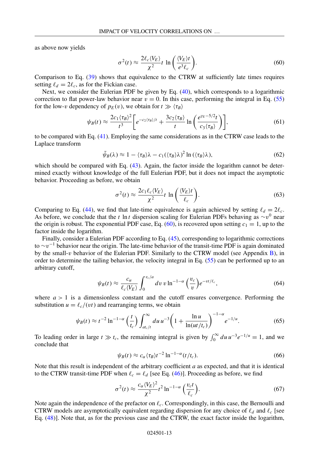as above now yields

$$
\sigma^2(t) \approx \frac{2\ell_c \langle V_E \rangle}{\chi^2} t \ln \left( \frac{\langle V_E \rangle t}{e^3 \ell_c} \right). \tag{60}
$$

Comparison to Eq. (39) shows that equivalence to the CTRW at sufficiently late times requires setting  $\ell_d = 2\ell_c$ , as for the Fickian case.

Next, we consider the Eulerian PDF be given by Eq. (40), which corresponds to a logarithmic correction to flat power-law behavior near  $v = 0$ . In this case, performing the integral in Eq. (55) for the low-*v* dependency of  $p_E(v)$ , we obtain for  $t \gg \langle \tau_B \rangle$ 

$$
\psi_B(t) \approx \frac{2c_1 \langle \tau_B \rangle^2}{t^3} \bigg[ e^{-c_2 \langle \tau_B \rangle/t} + \frac{3c_2 \langle \tau_B \rangle}{t} \ln \bigg( \frac{e^{\gamma_E - 5/2}t}{c_3 \langle \tau_B \rangle} \bigg) \bigg],\tag{61}
$$

to be compared with Eq. (41). Employing the same considerations as in the CTRW case leads to the Laplace transform

$$
\tilde{\psi}_B(\lambda) \approx 1 - \langle \tau_B \rangle \lambda - c_1 (\langle \tau_B \rangle \lambda)^2 \ln (\langle \tau_B \rangle \lambda), \tag{62}
$$

which should be compared with Eq. (43). Again, the factor inside the logarithm cannot be determined exactly without knowledge of the full Eulerian PDF, but it does not impact the asymptotic behavior. Proceeding as before, we obtain

$$
\sigma^2(t) \approx \frac{2c_1 \ell_c \langle V_E \rangle}{\chi^2} t \ln \left( \frac{\langle V_E \rangle t}{\ell_c} \right). \tag{63}
$$

Comparing to Eq. (44), we find that late-time equivalence is again achieved by setting  $\ell_d = 2\ell_c$ . As before, we conclude that the *t* ln *t* dispersion scaling for Eulerian PDFs behaving as ∼*v*<sup>0</sup> near the origin is robust. The exponential PDF case, Eq. (60), is recovered upon setting  $c_1 = 1$ , up to the factor inside the logarithm.

Finally, consider a Eulerian PDF according to Eq. (45), corresponding to logarithmic corrections to ∼*v*−<sup>1</sup> behavior near the origin. The late-time behavior of the transit-time PDF is again dominated by the small-*v* behavior of the Eulerian PDF. Similarly to the CTRW model (see Appendix B), in order to determine the tailing behavior, the velocity integral in Eq. (55) can be performed up to an arbitrary cutoff,

$$
\psi_B(t) \approx \frac{c_\alpha}{\ell_c \langle V_E \rangle} \int_0^{v_c/a} dv \, v \ln^{-1-\alpha} \left(\frac{v_c}{v}\right) e^{-vt/\ell_c},\tag{64}
$$

where  $a > 1$  is a dimensionless constant and the cutoff ensures convergence. Performing the substitution  $u = \ell_c/(vt)$  and rearranging terms, we obtain

$$
\psi_B(t) \approx t^{-2} \ln^{-1-\alpha} \left(\frac{t}{t_c}\right) \int_{at_c/t}^{\infty} du \, u^{-3} \left(1 + \frac{\ln u}{\ln(u t/t_c)}\right)^{-1-\alpha} e^{-1/u}.\tag{65}
$$

To leading order in large  $t \gg t_c$ , the remaining integral is given by  $\int_0^\infty du \, u^{-3} e^{-1/u} = 1$ , and we conclude that

$$
\psi_B(t) \approx c_\alpha \langle \tau_B \rangle t^{-2} \ln^{-1-\alpha} (t/t_c). \tag{66}
$$

Note that this result is independent of the arbitrary coefficient *a* as expected, and that it is identical to the CTRW transit-time PDF when  $\ell_c = \ell_d$  [see Eq. (46)]. Proceeding as before, we find

$$
\sigma^2(t) \approx \frac{c_{\alpha} \langle V_E \rangle^2}{\chi^2} t^2 \ln^{-1-\alpha} \left( \frac{v_c t}{\ell_c} \right). \tag{67}
$$

Note again the independence of the prefactor on  $\ell_c$ . Correspondingly, in this case, the Bernoulli and CTRW models are asymptotically equivalent regarding dispersion for any choice of  $\ell_d$  and  $\ell_c$  [see Eq. (48)]. Note that, as for the previous case and the CTRW, the exact factor inside the logarithm,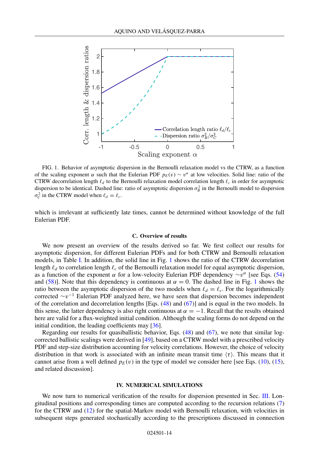

FIG. 1. Behavior of asymptotic dispersion in the Bernoulli relaxation model vs the CTRW, as a function of the scaling exponent  $\alpha$  such that the Eulerian PDF  $p_E(v) \sim v^{\alpha}$  at low velocities. Solid line: ratio of the CTRW decorrelation length  $\ell_d$  to the Bernoulli relaxation model correlation length  $\ell_c$  in order for asymptotic dispersion to be identical. Dashed line: ratio of asymptotic dispersion  $\sigma_B^2$  in the Bernoulli model to dispersion  $\sigma_c^2$  in the CTRW model when  $\ell_d = \ell_c$ .

which is irrelevant at sufficiently late times, cannot be determined without knowledge of the full Eulerian PDF.

#### **C. Overview of results**

We now present an overview of the results derived so far. We first collect our results for asymptotic dispersion, for different Eulerian PDFs and for both CTRW and Bernoulli relaxation models, in Table I. In addition, the solid line in Fig. 1 shows the ratio of the CTRW decorrelation length  $\ell_d$  to correlation length  $\ell_c$  of the Bernoulli relaxation model for equal asymptotic dispersion, as a function of the exponent  $\alpha$  for a low-velocity Eulerian PDF dependency  $\sim v^{\alpha}$  [see Eqs. (54) and (58)]. Note that this dependency is continuous at  $\alpha = 0$ . The dashed line in Fig. 1 shows the ratio between the asymptotic dispersion of the two models when  $\ell_d = \ell_c$ . For the logarithmically corrected ∼*v*<sup>−</sup><sup>1</sup> Eulerian PDF analyzed here, we have seen that dispersion becomes independent of the correlation and decorrelation lengths [Eqs. (48) and (67)] and is equal in the two models. In this sense, the latter dependency is also right continuous at  $\alpha = -1$ . Recall that the results obtained here are valid for a flux-weighted initial condition. Although the scaling forms do not depend on the initial condition, the leading coefficients may [36].

Regarding our results for quasiballistic behavior, Eqs. (48) and (67), we note that similar logcorrected ballistic scalings were derived in [49], based on a CTRW model with a prescribed velocity PDF and step-size distribution accounting for velocity correlations. However, the choice of velocity distribution in that work is associated with an infinite mean transit time  $\langle \tau \rangle$ . This means that it cannot arise from a well defined  $p_E(v)$  in the type of model we consider here [see Eqs. (10), (15), and related discussion].

#### **IV. NUMERICAL SIMULATIONS**

We now turn to numerical verification of the results for dispersion presented in Sec. III. Longitudinal positions and corresponding times are computed according to the recursion relations (7) for the CTRW and (12) for the spatial-Markov model with Bernoulli relaxation, with velocities in subsequent steps generated stochastically according to the prescriptions discussed in connection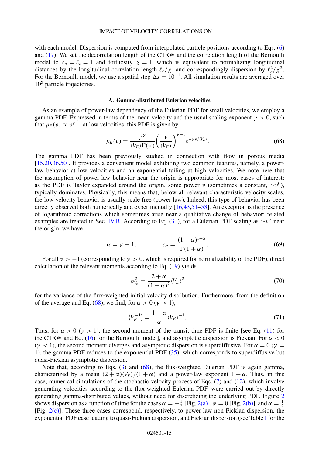with each model. Dispersion is computed from interpolated particle positions according to Eqs. (6) and (17). We set the decorrelation length of the CTRW and the correlation length of the Bernoulli model to  $\ell_d = \ell_c = 1$  and tortuosity  $\chi = 1$ , which is equivalent to normalizing longitudinal distances by the longitudinal correlation length  $\ell_c/\chi$ , and correspondingly dispersion by  $\ell_c^2/\chi^2$ . For the Bernoulli model, we use a spatial step  $\Delta s = 10^{-1}$ . All simulation results are averaged over  $10<sup>5</sup>$  particle trajectories.

#### **A. Gamma-distributed Eulerian velocities**

As an example of power-law dependency of the Eulerian PDF for small velocities, we employ a gamma PDF. Expressed in terms of the mean velocity and the usual scaling exponent  $\gamma > 0$ , such that  $p_E(v) \propto v^{\gamma-1}$  at low velocities, this PDF is given by

$$
p_E(v) = \frac{\gamma^{\gamma}}{\langle V_E \rangle \Gamma(\gamma)} \left(\frac{v}{\langle V_E \rangle}\right)^{\gamma - 1} e^{-\gamma v / \langle V_E \rangle}.
$$
 (68)

The gamma PDF has been previously studied in connection with flow in porous media [15,20,36,50]. It provides a convenient model exhibiting two common features, namely, a powerlaw behavior at low velocities and an exponential tailing at high velocities. We note here that the assumption of power-law behavior near the origin is appropriate for most cases of interest: as the PDF is Taylor expanded around the origin, some power *v* (sometimes a constant,  $\sim v^0$ ), typically dominates. Physically, this means that, below all relevant characteristic velocity scales, the low-velocity behavior is usually scale free (power law). Indeed, this type of behavior has been directly observed both numerically and experimentally [16,43,51–53]. An exception is the presence of logarithmic corrections which sometimes arise near a qualitative change of behavior; related examples are treated in Sec. IV B. According to Eq. (31), for a Eulerian PDF scaling as  $\sim v^{\alpha}$  near the origin, we have

$$
\alpha = \gamma - 1, \qquad c_{\alpha} = \frac{(1 + \alpha)^{1 + \alpha}}{\Gamma(1 + \alpha)}.
$$
\n(69)

For all  $\alpha > -1$  (corresponding to  $\gamma > 0$ , which is required for normalizability of the PDF), direct calculation of the relevant moments according to Eq. (19) yields

$$
\sigma_{V_0}^2 = \frac{2+\alpha}{(1+\alpha)^2} \langle V_E \rangle^2 \tag{70}
$$

for the variance of the flux-weighted initial velocity distribution. Furthermore, from the definition of the average and Eq. (68), we find, for  $\alpha > 0$  ( $\gamma > 1$ ),

$$
\langle V_E^{-1} \rangle = \frac{1 + \alpha}{\alpha} \langle V_E \rangle^{-1}.
$$
\n(71)

Thus, for  $\alpha > 0$  ( $\gamma > 1$ ), the second moment of the transit-time PDF is finite [see Eq. (11) for the CTRW and Eq. (16) for the Bernoulli model], and asymptotic dispersion is Fickian. For  $\alpha < 0$  $(\gamma < 1)$ , the second moment diverges and asymptotic dispersion is superdiffusive. For  $\alpha = 0$  ( $\gamma =$ 1), the gamma PDF reduces to the exponential PDF (35), which corresponds to superdiffusive but quasi-Fickian asymptotic dispersion.

Note that, according to Eqs. (3) and (68), the flux-weighted Eulerian PDF is again gamma, characterized by a mean  $(2 + \alpha) \langle V_E \rangle / (1 + \alpha)$  and a power-law exponent  $1 + \alpha$ . Thus, in this case, numerical simulations of the stochastic velocity process of Eqs. (7) and (12), which involve generating velocities according to the flux-weighted Eulerian PDF, were carried out by directly generating gamma-distributed values, without need for discretizing the underlying PDF. Figure 2 shows dispersion as a function of time for the cases  $\alpha = -\frac{1}{2}$  [Fig. 2(a)],  $\alpha = 0$  [Fig. 2(b)], and  $\alpha = \frac{1}{2}$ [Fig. 2(c)]. These three cases correspond, respectively, to power-law non-Fickian dispersion, the exponential PDF case leading to quasi-Fickian dispersion, and Fickian dispersion (see Table I for the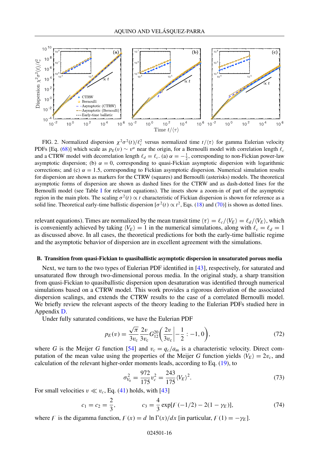

FIG. 2. Normalized dispersion  $\chi^2 \sigma^2(t)/\ell_c^2$  versus normalized time  $t/\langle \tau \rangle$  for gamma Eulerian velocity PDFs [Eq. (68)] which scale as  $p_E(v) \sim v^\alpha$  near the origin, for a Bernoulli model with correlation length  $\ell_c$ and a CTRW model with decorrelation length  $\ell_d = \ell_c$ . (a)  $\alpha = -\frac{1}{2}$ , corresponding to non-Fickian power-law asymptotic dispersion; (b)  $\alpha = 0$ , corresponding to quasi-Fickian asymptotic dispersion with logarithmic corrections; and (c)  $\alpha = 1.5$ , corresponding to Fickian asymptotic dispersion. Numerical simulation results for dispersion are shown as markers for the CTRW (squares) and Bernoulli (asterisks) models. The theoretical asymptotic forms of dispersion are shown as dashed lines for the CTRW and as dash-dotted lines for the Bernoulli model (see Table I for relevant equations). The insets show a zoom-in of part of the asymptotic region in the main plots. The scaling  $\sigma^2(t) \propto t$  characteristic of Fickian dispersion is shown for reference as a solid line. Theoretical early-time ballistic dispersion  $\sigma^2(t) \propto t^2$ , Eqs. (18) and (70)] is shown as dotted lines.

relevant equations). Times are normalized by the mean transit time  $\langle \tau \rangle = \ell_c/\langle V_E \rangle = \ell_d/\langle V_E \rangle$ , which is conveniently achieved by taking  $\langle V_E \rangle = 1$  in the numerical simulations, along with  $\ell_c = \ell_d = 1$ as discussed above. In all cases, the theoretical predictions for both the early-time ballistic regime and the asymptotic behavior of dispersion are in excellent agreement with the simulations.

#### **B. Transition from quasi-Fickian to quasiballistic asymptotic dispersion in unsaturated porous media**

Next, we turn to the two types of Eulerian PDF identified in [43], respectively, for saturated and unsaturated flow through two-dimensional porous media. In the original study, a sharp transition from quasi-Fickian to quasiballistic dispersion upon desaturation was identified through numerical simulations based on a CTRW model. This work provides a rigorous derivation of the associated dispersion scalings, and extends the CTRW results to the case of a correlated Bernoulli model. We briefly review the relevant aspects of the theory leading to the Eulerian PDFs studied here in Appendix D.

Under fully saturated conditions, we have the Eulerian PDF

$$
p_E(v) = \frac{\sqrt{\pi}}{3v_c} \frac{2v}{3v_c} G_{12}^{20} \left( \frac{2v}{3v_c} \Big| -\frac{1}{2} : -1, 0 \right),\tag{72}
$$

where *G* is the Meijer *G* function [54] and  $v_c = q_c/a_m$  is a characteristic velocity. Direct computation of the mean value using the properties of the Meijer *G* function yields  $\langle V_E \rangle = 2v_c$ , and calculation of the relevant higher-order moments leads, according to Eq. (19), to

$$
\sigma_{V_0}^2 = \frac{972}{175} v_c^2 = \frac{243}{175} \langle V_E \rangle^2.
$$
 (73)

For small velocities  $v \ll v_c$ , Eq. (41) holds, with [43]

$$
c_1 = c_2 = \frac{2}{3}, \qquad c_3 = \frac{4}{3} \exp[F(-1/2) - 2(1 - \gamma_E)], \qquad (74)
$$

where F is the digamma function,  $F(x) = d \ln \Gamma(x)/dx$  [in particular,  $F(1) = -\gamma_E$ ].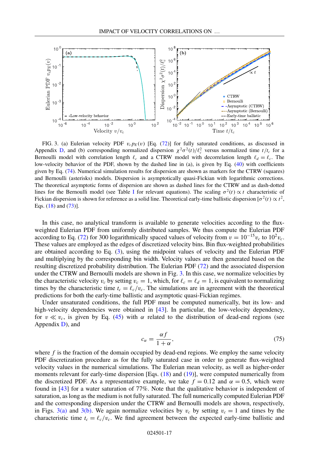

FIG. 3. (a) Eulerian velocity PDF  $v_c p_E(v)$  [Eq. (72)] for fully saturated conditions, as discussed in Appendix D, and (b) corresponding normalized dispersion  $\chi^2 \sigma^2(t)/\ell_c^2$  versus normalized time  $t/t_c$  for a Bernoulli model with correlation length  $\ell_c$  and a CTRW model with decorrelation length  $\ell_d = \ell_c$ . The low-velocity behavior of the PDF, shown by the dashed line in (a), is given by Eq. (40) with coefficients given by Eq. (74). Numerical simulation results for dispersion are shown as markers for the CTRW (squares) and Bernoulli (asterisks) models. Dispersion is asymptotically quasi-Fickian with logarithmic corrections. The theoretical asymptotic forms of dispersion are shown as dashed lines for the CTRW and as dash-dotted lines for the Bernoulli model (see Table I for relevant equations). The scaling  $\sigma^2(t) \propto t$  characteristic of Fickian dispersion is shown for reference as a solid line. Theoretical early-time ballistic dispersion  $\sigma^2(t) \propto t^2$ , Eqs. (18) and (73)].

In this case, no analytical transform is available to generate velocities according to the fluxweighted Eulerian PDF from uniformly distributed samples. We thus compute the Eulerian PDF according to Eq. (72) for 300 logarithmically spaced values of velocity from  $v = 10^{-15}v_c$  to  $10^2v_c$ . These values are employed as the edges of discretized velocity bins. Bin flux-weighted probabilities are obtained according to Eq. (3), using the midpoint values of velocity and the Eulerian PDF and multiplying by the corresponding bin width. Velocity values are then generated based on the resulting discretized probability distribution. The Eulerian PDF (72) and the associated dispersion under the CTRW and Bernoulli models are shown in Fig. 3. In this case, we normalize velocities by the characteristic velocity  $v_c$  by setting  $v_c = 1$ , which, for  $\ell_c = \ell_d = 1$ , is equivalent to normalizing times by the characteristic time  $t_c = \ell_c/v_c$ . The simulations are in agreement with the theoretical predictions for both the early-time ballistic and asymptotic quasi-Fickian regimes.

Under unsaturated conditions, the full PDF must be computed numerically, but its low- and high-velocity dependencies were obtained in [43]. In particular, the low-velocity dependency, for  $v \ll v_c$ , is given by Eq. (45) with  $\alpha$  related to the distribution of dead-end regions (see Appendix  $D$ ), and

$$
c_{\alpha} = \frac{\alpha f}{1 + \alpha},\tag{75}
$$

where  $f$  is the fraction of the domain occupied by dead-end regions. We employ the same velocity PDF discretization procedure as for the fully saturated case in order to generate flux-weighted velocity values in the numerical simulations. The Eulerian mean velocity, as well as higher-order moments relevant for early-time dispersion [Eqs. (18) and (19)], were computed numerically from the discretized PDF. As a representative example, we take  $f = 0.12$  and  $\alpha = 0.5$ , which were found in [43] for a water saturation of 77%. Note that the qualitative behavior is independent of saturation, as long as the medium is not fully saturated. The full numerically computed Eulerian PDF and the corresponding dispersion under the CTRW and Bernoulli models are shown, respectively, in Figs. 3(a) and 3(b). We again normalize velocities by  $v_c$  by setting  $v_c = 1$  and times by the characteristic time  $t_c = \ell_c/v_c$ . We find agreement between the expected early-time ballistic and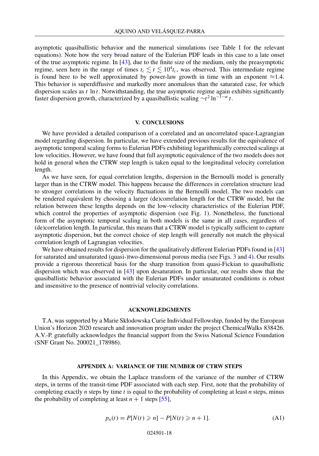asymptotic quasiballistic behavior and the numerical simulations (see Table I for the relevant equations). Note how the very broad nature of the Eulerian PDF leads in this case to a late onset of the true asymptotic regime. In [43], due to the finite size of the medium, only the preasymptotic regime, seen here in the range of times  $t_c \lesssim t \lesssim 10^4 t_c$ , was observed. This intermediate regime is found here to be well approximated by power-law growth in time with an exponent  $\approx$ 1.4. This behavior is superdiffusive and markedly more anomalous than the saturated case, for which dispersion scales as  $t \ln t$ . Notwithstanding, the true asymptotic regime again exhibits significantly faster dispersion growth, characterized by a quasiballistic scaling  $\sim t^2 \ln^{-1-\alpha} t$ .

#### **V. CONCLUSIONS**

We have provided a detailed comparison of a correlated and an uncorrelated space-Lagrangian model regarding dispersion. In particular, we have extended previous results for the equivalence of asymptotic temporal scaling forms to Eulerian PDFs exhibiting logarithmically corrected scalings at low velocities. However, we have found that full asymptotic equivalence of the two models does not hold in general when the CTRW step length is taken equal to the longitudinal velocity correlation length.

As we have seen, for equal correlation lengths, dispersion in the Bernoulli model is generally larger than in the CTRW model. This happens because the differences in correlation structure lead to stronger correlations in the velocity fluctuations in the Bernoulli model. The two models can be rendered equivalent by choosing a larger (de)correlation length for the CTRW model, but the relation between these lengths depends on the low-velocity characteristics of the Eulerian PDF, which control the properties of asymptotic dispersion (see Fig. 1). Nonetheless, the functional form of the asymptotic temporal scaling in both models is the same in all cases, regardless of (de)correlation length. In particular, this means that a CTRW model is typically sufficient to capture asymptotic dispersion, but the correct choice of step length will generally not match the physical correlation length of Lagrangian velocities.

We have obtained results for dispersion for the qualitatively different Eulerian PDFs found in [43] for saturated and unsaturated (quasi-)two-dimensional porous media (see Figs. 3 and 4). Our results provide a rigorous theoretical basis for the sharp transition from quasi-Fickian to quasiballistic dispersion which was observed in [43] upon desaturation. In particular, our results show that the quasiballistic behavior associated with the Eulerian PDFs under unsaturated conditions is robust and insensitive to the presence of nontrivial velocity correlations.

#### **ACKNOWLEDGMENTS**

T.A. was supported by a Marie Skłodowska Curie Individual Fellowship, funded by the European Union's Horizon 2020 research and innovation program under the project ChemicalWalks 838426. A.V.-P. gratefully acknowledges the financial support from the Swiss National Science Foundation (SNF Grant No. 200021\_178986).

#### **APPENDIX A: VARIANCE OF THE NUMBER OF CTRW STEPS**

In this Appendix, we obtain the Laplace transform of the variance of the number of CTRW steps, in terms of the transit-time PDF associated with each step. First, note that the probability of completing exactly *n* steps by time *t* is equal to the probability of completing at least *n* steps, minus the probability of completing at least  $n + 1$  steps [55],

$$
p_n(t) = P[N(t) \ge n] - P[N(t) \ge n + 1].
$$
 (A1)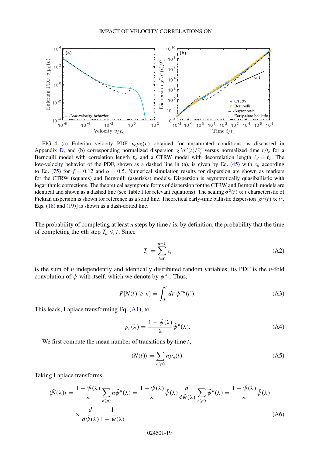

FIG. 4. (a) Eulerian velocity PDF  $v_c p_E(v)$  obtained for unsaturated conditions as discussed in Appendix D, and (b) corresponding normalized dispersion  $\chi^2 \sigma^2(t)/\ell_c^2$  versus normalized time  $t/t_c$  for a Bernoulli model with correlation length  $\ell_c$  and a CTRW model with decorrelation length  $\ell_d = \ell_c$ . The low-velocity behavior of the PDF, shown as a dashed line in (a), is given by Eq. (45) with  $c_{\alpha}$  according to Eq. (75) for  $f = 0.12$  and  $\alpha = 0.5$ . Numerical simulation results for dispersion are shown as markers for the CTRW (squares) and Bernoulli (asterisks) models. Dispersion is asymptotically quasiballistic with logarithmic corrections. The theoretical asymptotic forms of dispersion for the CTRW and Bernoulli models are identical and shown as a dashed line (see Table I for relevant equations). The scaling  $\sigma^2(t) \propto t$  characteristic of Fickian dispersion is shown for reference as a solid line. Theoretical early-time ballistic dispersion  $\sigma^2(t) \propto t^2$ , Eqs.  $(18)$  and  $(19)$ ] is shown as a dash-dotted line.

The probability of completing at least *n* steps by time *t* is, by definition, the probability that the time of completing the *n*th step  $T_n \leq t$ . Since

$$
T_n = \sum_{i=0}^{n-1} \tau_i
$$
\n(A2)

is the sum of *n* independently and identically distributed random variables, its PDF is the *n*-fold convolution of  $\psi$  with itself, which we denote by  $\psi^{*n}$ . Thus,

$$
P[N(t) \geqslant n] = \int_0^t dt' \psi^{*n}(t').
$$
\n(A3)

This leads, Laplace transforming Eq. (A1), to

$$
\tilde{p}_n(\lambda) = \frac{1 - \tilde{\psi}(\lambda)}{\lambda} \tilde{\psi}^n(\lambda).
$$
 (A4)

We first compute the mean number of transitions by time *t*,

$$
\langle N(t) \rangle = \sum_{n \ge 0} n p_n(t). \tag{A5}
$$

Taking Laplace transforms,

$$
\langle \tilde{N}(\lambda) \rangle = \frac{1 - \tilde{\psi}(\lambda)}{\lambda} \sum_{n \ge 0} n \tilde{\psi}^n(\lambda) = \frac{1 - \tilde{\psi}(\lambda)}{\lambda} \tilde{\psi}(\lambda) \frac{d}{d\tilde{\psi}(\lambda)} \sum_{n \ge 0} \tilde{\psi}^n(\lambda) = \frac{1 - \tilde{\psi}(\lambda)}{\lambda} \tilde{\psi}(\lambda)
$$

$$
\times \frac{d}{d\tilde{\psi}(\lambda)} \frac{1}{1 - \tilde{\psi}(\lambda)},
$$
(A6)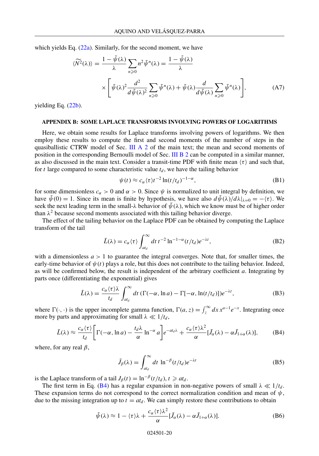which yields Eq.  $(22a)$ . Similarly, for the second moment, we have

$$
\langle \widetilde{N^2}(\lambda) \rangle = \frac{1 - \widetilde{\psi}(\lambda)}{\lambda} \sum_{n \ge 0} n^2 \widetilde{\psi}^n(\lambda) = \frac{1 - \widetilde{\psi}(\lambda)}{\lambda} \times \left[ \widetilde{\psi}(\lambda)^2 \frac{d^2}{d \widetilde{\psi}(\lambda)^2} \sum_{n \ge 0} \widetilde{\psi}^n(\lambda) + \widetilde{\psi}(\lambda) \frac{d}{d \widetilde{\psi}(\lambda)} \sum_{n \ge 0} \widetilde{\psi}^n(\lambda) \right], \tag{A7}
$$

yielding Eq.  $(22b)$ .

#### **APPENDIX B: SOME LAPLACE TRANSFORMS INVOLVING POWERS OF LOGARITHMS**

Here, we obtain some results for Laplace transforms involving powers of logarithms. We then employ these results to compute the first and second moments of the number of steps in the quasiballistic CTRW model of Sec. III A 2 of the main text; the mean and second moments of position in the corresponding Bernoulli model of Sec. III B 2 can be computed in a similar manner, as also discussed in the main text. Consider a transit-time PDF with finite mean  $\langle \tau \rangle$  and such that, for  $t$  large compared to some characteristic value  $t_d$ , we have the tailing behavior

$$
\psi(t) \approx c_{\alpha} \langle \tau \rangle t^{-2} \ln(t/t_d)^{-1-\alpha},\tag{B1}
$$

for some dimensionless  $c_{\alpha} > 0$  and  $\alpha > 0$ . Since  $\psi$  is normalized to unit integral by definition, we have  $\tilde{\psi}(0) = 1$ . Since its mean is finite by hypothesis, we have also  $d\tilde{\psi}(\lambda)/d\lambda|_{\lambda=0} = -\langle \tau \rangle$ . We seek the next leading term in the small- $\lambda$  behavior of  $\tilde{\psi}(\lambda)$ , which we know must be of higher order than  $\lambda^2$  because second moments associated with this tailing behavior diverge.

The effect of the tailing behavior on the Laplace PDF can be obtained by computing the Laplace transform of the tail

$$
\tilde{L}(\lambda) = c_{\alpha} \langle \tau \rangle \int_{at_d}^{\infty} dt \, t^{-2} \ln^{-1-\alpha} (t/t_d) e^{-\lambda t}, \tag{B2}
$$

with a dimensionless  $a > 1$  to guarantee the integral converges. Note that, for smaller times, the early-time behavior of  $\psi(t)$  plays a role, but this does not contribute to the tailing behavior. Indeed, as will be confirmed below, the result is independent of the arbitrary coefficient *a*. Integrating by parts once (differentiating the exponential) gives

$$
\tilde{L}(\lambda) = \frac{c_{\alpha}\langle \tau \rangle \lambda}{t_d} \int_{at_d}^{\infty} dt \left( \Gamma(-\alpha, \ln a) - \Gamma[-\alpha, \ln(t/t_d)] \right) e^{-\lambda t}, \tag{B3}
$$

where  $\Gamma(\cdot, \cdot)$  is the upper incomplete gamma function,  $\Gamma(a, z) = \int_z^{\infty} dx x^{a-1} e^{-x}$ . Integrating once more by parts and approximating for small  $\lambda \ll 1/t_d$ ,

$$
\tilde{L}(\lambda) \approx \frac{c_{\alpha}\langle\tau\rangle}{t_d} \bigg[ \Gamma(-\alpha, \ln a) - \frac{t_d\lambda}{\alpha} \ln^{-\alpha} a \bigg] e^{-at_d\lambda} + \frac{c_{\alpha}\langle\tau\rangle \lambda^2}{\alpha} [\tilde{J}_{\alpha}(\lambda) - \alpha \tilde{J}_{1+\alpha}(\lambda)], \tag{B4}
$$

where, for any real  $\beta$ ,

$$
\tilde{J}_{\beta}(\lambda) = \int_{at_d}^{\infty} dt \, \ln^{-\beta} (t/t_d) e^{-\lambda t}
$$
 (B5)

is the Laplace transform of a tail  $J_\beta(t) = \ln^{-\beta}(t/t_d)$ ,  $t \geq a t_d$ .

The first term in Eq. (B4) has a regular expansion in non-negative powers of small  $\lambda \ll 1/t_d$ . These expansion terms do not correspond to the correct normalization condition and mean of  $\psi$ , due to the missing integration up to  $t = at_d$ . We can simply restore these contributions to obtain

$$
\tilde{\psi}(\lambda) \approx 1 - \langle \tau \rangle \lambda + \frac{c_{\alpha} \langle \tau \rangle \lambda^2}{\alpha} [\tilde{J}_{\alpha}(\lambda) - \alpha \tilde{J}_{1+\alpha}(\lambda)]. \tag{B6}
$$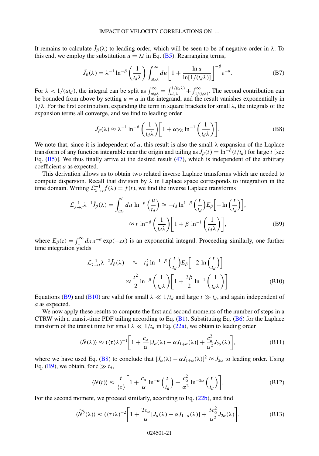It remains to calculate  $\tilde{J}_\beta(\lambda)$  to leading order, which will be seen to be of negative order in  $\lambda$ . To this end, we employ the substitution  $u = \lambda t$  in Eq. (B5). Rearranging terms,

$$
\tilde{J}_{\beta}(\lambda) = \lambda^{-1} \ln^{-\beta} \left(\frac{1}{t_d \lambda}\right) \int_{at_d \lambda}^{\infty} du \left[1 + \frac{\ln u}{\ln[1/(t_d \lambda)]}\right]^{-\beta} e^{-u}.
$$
 (B7)

For  $\lambda < 1/(at_d)$ , the integral can be split as  $\int_{at_d\lambda}^{\infty} = \int_{at_d\lambda}^{1/(t_d\lambda)} + \int_{1/(t_d\lambda)}^{\infty}$ . The second contribution can be bounded from above by setting  $u = a$  in the integrand, and the result vanishes exponentially in  $1/\lambda$ . For the first contribution, expanding the term in square brackets for small  $\lambda$ , the integrals of the expansion terms all converge, and we find to leading order

$$
\tilde{J}_{\beta}(\lambda) \approx \lambda^{-1} \ln^{-\beta} \left(\frac{1}{t_d \lambda}\right) \left[1 + \alpha \gamma_E \ln^{-1} \left(\frac{1}{t_d \lambda}\right)\right].
$$
 (B8)

We note that, since it is independent of  $a$ , this result is also the small- $\lambda$  expansion of the Laplace transform of any function integrable near the origin and tailing as  $J_\beta(t) = \ln^{-\beta}(t/t_d)$  for large *t* [see Eq.  $(B5)$ ]. We thus finally arrive at the desired result  $(47)$ , which is independent of the arbitrary coefficient *a* as expected.

This derivation allows us to obtain two related inverse Laplace transforms which are needed to compute dispersion. Recall that division by  $\lambda$  in Laplace space corresponds to integration in the time domain. Writing  $\mathcal{L}_{\lambda \to t}^{-1} \tilde{f}(\lambda) = f(t)$ , we find the inverse Laplace transforms

$$
\mathcal{L}_{\lambda \to t}^{-1} \lambda^{-1} \tilde{J}_{\beta}(\lambda) = \int_{at_d}^t du \, \ln^{-\beta} \left(\frac{u}{t_d}\right) \approx -t_d \ln^{-\beta} \left(\frac{t}{t_d}\right) E_{\beta} \left[-\ln\left(\frac{t}{t_d}\right)\right],
$$
\n
$$
\approx t \, \ln^{-\beta} \left(\frac{1}{t_d \lambda}\right) \left[1 + \beta \ln^{-1} \left(\frac{1}{t_d \lambda}\right)\right],
$$
\n(B9)

where  $E_\beta(z) = \int_1^\infty dx \, x^{-\alpha} \exp(-zx)$  is an exponential integral. Proceeding similarly, one further time integration yields

$$
\mathcal{L}_{\lambda \to t}^{-1} \lambda^{-2} \tilde{J}_{\beta}(\lambda) \approx -t_d^2 \ln^{-1-\beta} \left(\frac{t}{t_d}\right) E_{\beta} \left[-2 \ln \left(\frac{t}{t_d}\right)\right]
$$

$$
\approx \frac{t^2}{2} \ln^{-\beta} \left(\frac{1}{t_d \lambda}\right) \left[1 + \frac{3\beta}{2} \ln^{-1} \left(\frac{1}{t_d \lambda}\right)\right].
$$
(B10)

Equations (B9) and (B10) are valid for small  $\lambda \ll 1/t_d$  and large  $t \gg t_d$ , and again independent of *a* as expected.

We now apply these results to compute the first and second moments of the number of steps in a CTRW with a transit-time PDF tailing according to Eq. (B1). Substituting Eq. (B6) for the Laplace transform of the transit time for small  $\lambda \ll 1/t_d$  in Eq. (22a), we obtain to leading order

$$
\langle \tilde{N}(\lambda) \rangle \approx (\langle \tau \rangle \lambda)^{-1} \bigg[ 1 + \frac{c_{\alpha}}{\alpha} [J_{\alpha}(\lambda) - \alpha J_{1+\alpha}(\lambda)] + \frac{c_{\alpha}^2}{\alpha^2} J_{2\alpha}(\lambda) \bigg], \tag{B11}
$$

where we have used Eq. (B8) to conclude that  $[\tilde{J}_{\alpha}(\lambda) - \alpha \tilde{J}_{1+\alpha}(\lambda)]^2 \approx \tilde{J}_{2\alpha}$  to leading order. Using Eq. (B9), we obtain, for  $t \gg t_d$ ,

$$
\langle N(t) \rangle \approx \frac{t}{\langle \tau \rangle} \bigg[ 1 + \frac{c_{\alpha}}{\alpha} \ln^{-\alpha} \left( \frac{t}{t_d} \right) + \frac{c_{\alpha}^2}{\alpha^2} \ln^{-2\alpha} \left( \frac{t}{t_d} \right) \bigg]. \tag{B12}
$$

For the second moment, we proceed similarly, according to Eq. (22b), and find

$$
\langle \widetilde{N^2}(\lambda) \rangle \approx (\langle \tau \rangle \lambda)^{-2} \bigg[ 1 + \frac{2c_\alpha}{\alpha} [J_\alpha(\lambda) - \alpha J_{1+\alpha}(\lambda)] + \frac{3c_\alpha^2}{\alpha^2} J_{2\alpha}(\lambda) \bigg]. \tag{B13}
$$

#### 024501-21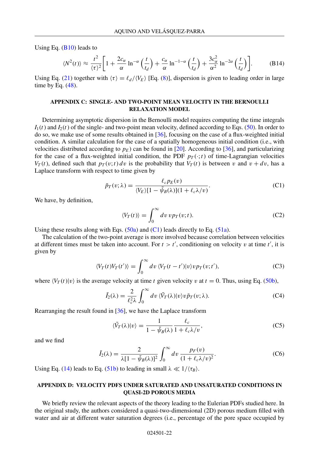Using Eq.  $(B10)$  leads to

$$
\langle N^2(t) \rangle \approx \frac{t^2}{\langle \tau \rangle^2} \bigg[ 1 + \frac{2c_\alpha}{\alpha} \ln^{-\alpha} \left( \frac{t}{t_d} \right) + \frac{c_\alpha}{\alpha} \ln^{-1-\alpha} \left( \frac{t}{t_d} \right) + \frac{3c_\alpha^2}{\alpha^2} \ln^{-2\alpha} \left( \frac{t}{t_d} \right) \bigg]. \tag{B14}
$$

Using Eq. (21) together with  $\langle \tau \rangle = \ell_d / \langle V_E \rangle$  [Eq. (8)], dispersion is given to leading order in large time by Eq.  $(48)$ .

#### **APPENDIX C: SINGLE- AND TWO-POINT MEAN VELOCITY IN THE BERNOULLI RELAXATION MODEL**

Determining asymptotic dispersion in the Bernoulli model requires computing the time integrals  $I_1(t)$  and  $I_2(t)$  of the single- and two-point mean velocity, defined according to Eqs. (50). In order to do so, we make use of some results obtained in [36], focusing on the case of a flux-weighted initial condition. A similar calculation for the case of a spatially homogeneous initial condition (i.e., with velocities distributed according to  $p_E$ ) can be found in [20]. According to [36], and particularizing for the case of a flux-weighted initial condition, the PDF  $p_T(\cdot;t)$  of time-Lagrangian velocities *VT*(*t*), defined such that  $p_T(v;t) dv$  is the probability that  $V_T(t)$  is between *v* and  $v + dv$ , has a Laplace transform with respect to time given by

$$
\tilde{p}_T(v;\lambda) = \frac{\ell_c p_E(v)}{\langle V_E \rangle [1 - \tilde{\psi}_B(\lambda)] (1 + \ell_c \lambda/v)}.
$$
\n(C1)

We have, by definition,

$$
\langle V_T(t) \rangle = \int_0^\infty dv \, v p_T(v;t). \tag{C2}
$$

Using these results along with Eqs.  $(50a)$  and  $(C1)$  leads directly to Eq.  $(51a)$ .

The calculation of the two-point average is more involved because correlation between velocities at different times must be taken into account. For  $t > t'$ , conditioning on velocity *v* at time  $t'$ , it is given by

$$
\langle V_T(t)V_T(t')\rangle = \int_0^\infty dv \, \langle V_T(t-t')|v\rangle v p_T(v;t'),\tag{C3}
$$

where  $\langle V_T(t)|v \rangle$  is the average velocity at time *t* given velocity *v* at  $t = 0$ . Thus, using Eq. (50b),

$$
\tilde{I}_2(\lambda) = \frac{2}{\ell_c^2 \lambda} \int_0^\infty dv \, \langle \tilde{V}_T(\lambda) | v \rangle v \, \tilde{p}_T(v; \lambda). \tag{C4}
$$

Rearranging the result found in [36], we have the Laplace transform

$$
\langle \tilde{V}_T(\lambda)|v\rangle = \frac{1}{1 - \tilde{\psi}_B(\lambda)} \frac{\ell_c}{1 + \ell_c \lambda/v},\tag{C5}
$$

and we find

$$
\tilde{I}_2(\lambda) = \frac{2}{\lambda [1 - \tilde{\psi}_B(\lambda)]^2} \int_0^\infty dv \, \frac{p_F(v)}{(1 + \ell_c \lambda/v)^2}.
$$
 (C6)

Using Eq. (14) leads to Eq. (51b) to leading in small  $\lambda \ll 1/\langle \tau_B \rangle$ .

#### **APPENDIX D: VELOCITY PDFS UNDER SATURATED AND UNSATURATED CONDITIONS IN QUASI-2D POROUS MEDIA**

We briefly review the relevant aspects of the theory leading to the Eulerian PDFs studied here. In the original study, the authors considered a quasi-two-dimensional (2D) porous medium filled with water and air at different water saturation degrees (i.e., percentage of the pore space occupied by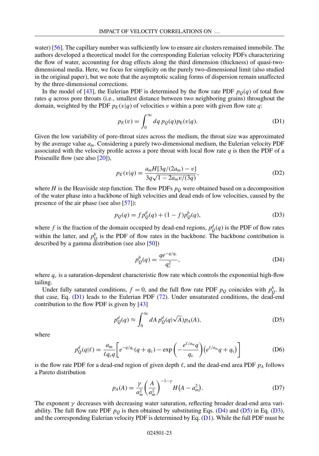water) [56]. The capillary number was sufficiently low to ensure air clusters remained immobile. The authors developed a theoretical model for the corresponding Eulerian velocity PDFs characterizing the flow of water, accounting for drag effects along the third dimension (thickness) of quasi-twodimensional media. Here, we focus for simplicity on the purely two-dimensional limit (also studied in the original paper), but we note that the asymptotic scaling forms of dispersion remain unaffected by the three-dimensional corrections.

In the model of [43], the Eulerian PDF is determined by the flow rate PDF  $p_Q(q)$  of total flow rates *q* across pore throats (i.e., smallest distance between two neighboring grains) throughout the domain, weighted by the PDF  $p_E(v|q)$  of velocities *v* within a pore with given flow rate *q*:

$$
p_E(v) = \int_0^\infty dq \, p_Q(q) p_E(v|q). \tag{D1}
$$

Given the low variability of pore-throat sizes across the medium, the throat size was approximated by the average value *am*. Considering a purely two-dimensional medium, the Eulerian velocity PDF associated with the velocity profile across a pore throat with local flow rate  $q$  is then the PDF of a Poiseuille flow (see also [20]),

$$
p_E(v|q) = \frac{a_m H[3q/(2a_m) - v]}{3q\sqrt{1 - 2a_m v/(3q)}},
$$
\n(D2)

where  $H$  is the Heaviside step function. The flow PDFs  $p<sub>Q</sub>$  were obtained based on a decomposition of the water phase into a backbone of high velocities and dead ends of low velocities, caused by the presence of the air phase (see also  $[57]$ ):

$$
p_Q(q) = f p_Q^d(q) + (1 - f) p_Q^b(q),
$$
 (D3)

where *f* is the fraction of the domain occupied by dead-end regions,  $p_Q^d(q)$  is the PDF of flow rates within the latter, and  $p_Q^b$  is the PDF of flow rates in the backbone. The backbone contribution is described by a gamma distribution (see also [50])

$$
p_Q^b(q) = \frac{q e^{-q/q_c}}{q_c^2},
$$
 (D4)

where  $q_c$  is a saturation-dependent characteristic flow rate which controls the exponential high-flow tailing.

Under fully saturated conditions,  $f = 0$ , and the full flow rate PDF  $p_Q$  coincides with  $p_Q^b$ . In that case, Eq. (D1) leads to the Eulerian PDF (72). Under unsaturated conditions, the dead-end contribution to the flow PDF is given by [43]

$$
p_Q^d(q) \approx \int_0^\infty dA \, p_Q^d(q|\sqrt{A}) p_A(A), \tag{D5}
$$

where

$$
p_{\mathcal{Q}}^d(q|\ell) = \frac{a_{\mathfrak{m}}}{\ell q_c q} \bigg[ e^{-q/q_c} (q + q_c) - \exp\left( -\frac{e^{\ell/a_{\mathfrak{m}}} q}{q_c} \right) \left( e^{\ell/a_{\mathfrak{m}}} q + q_c \right) \bigg] \tag{D6}
$$

is the flow rate PDF for a dead-end region of given depth  $\ell$ , and the dead-end area PDF  $p_A$  follows a Pareto distribution

$$
p_A(A) = \frac{\gamma}{a_m^2} \left(\frac{A}{a_m^2}\right)^{-1-\gamma} H\big(A - a_m^2\big). \tag{D7}
$$

The exponent  $\gamma$  decreases with decreasing water saturation, reflecting broader dead-end area variability. The full flow rate PDF  $p_Q$  is then obtained by substituting Eqs. (D4) and (D5) in Eq. (D3), and the corresponding Eulerian velocity PDF is determined by Eq. (D1). While the full PDF must be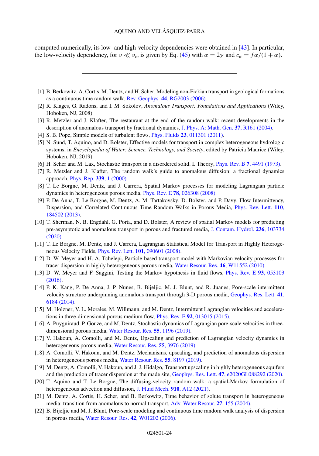computed numerically, its low- and high-velocity dependencies were obtained in [43]. In particular, the low-velocity dependency, for  $v \ll v_c$ , is given by Eq. (45) with  $\alpha = 2\gamma$  and  $c_\alpha = \frac{f\alpha}{(1 + \alpha)}$ .

- [1] B. Berkowitz, A. Cortis, M. Dentz, and H. Scher, Modeling non-Fickian transport in geological formations as a continuous time random walk, Rev. Geophys. **44**[, RG2003 \(2006\).](https://doi.org/10.1029/2005RG000178)
- [2] R. Klages, G. Radons, and I. M. Sokolov, *Anomalous Transport: Foundations and Applications* (Wiley, Hoboken, NJ, 2008).
- [3] R. Metzler and J. Klafter, The restaurant at the end of the random walk: recent developments in the description of anomalous transport by fractional dynamics, [J. Phys. A: Math. Gen.](https://doi.org/10.1088/0305-4470/37/31/R01) **37**, R161 (2004).
- [4] S. B. Pope, Simple models of turbulent flows, Phys. Fluids **23**[, 011301 \(2011\).](https://doi.org/10.1063/1.3531744)
- [5] N. Sund, T. Aquino, and D. Bolster, Effective models for transport in complex heterogeneous hydrologic systems, in *Encyclopedia of Water: Science, Technology, and Society*, edited by Patricia Maurice (Wiley, Hoboken, NJ, 2019).
- [6] H. Scher and M. Lax, Stochastic transport in a disordered solid. I. Theory, Phys. Rev. B **7**[, 4491 \(1973\).](https://doi.org/10.1103/PhysRevB.7.4491)
- [7] R. Metzler and J. Klafter, The random walk's guide to anomalous diffusion: a fractional dynamics approach, [Phys. Rep.](https://doi.org/10.1016/S0370-1573(00)00070-3) **339**, 1 (2000).
- [8] T. Le Borgne, M. Dentz, and J. Carrera, Spatial Markov processes for modeling Lagrangian particle dynamics in heterogeneous porous media, Phys. Rev. E **78**[, 026308 \(2008\).](https://doi.org/10.1103/PhysRevE.78.026308)
- [9] P. De Anna, T. Le Borgne, M. Dentz, A. M. Tartakovsky, D. Bolster, and P. Davy, Flow Intermittency, [Dispersion, and Correlated Continuous Time Random Walks in Porous Media,](https://doi.org/10.1103/PhysRevLett.110.184502) Phys. Rev. Lett. **110**, 184502 (2013).
- [10] T. Sherman, N. B. Engdahl, G. Porta, and D. Bolster, A review of spatial Markov models for predicting [pre-asymptotic and anomalous transport in porous and fractured media,](https://doi.org/10.1016/j.jconhyd.2020.103734) J. Contam. Hydrol. **236**, 103734 (2020).
- [11] T. Le Borgne, M. Dentz, and J. Carrera, Lagrangian Statistical Model for Transport in Highly Heterogeneous Velocity Fields, Phys. Rev. Lett. **101**[, 090601 \(2008\).](https://doi.org/10.1103/PhysRevLett.101.090601)
- [12] D. W. Meyer and H. A. Tchelepi, Particle-based transport model with Markovian velocity processes for tracer dispersion in highly heterogeneous porous media, [Water Resour. Res.](https://doi.org/10.1029/2009WR008925) **46**, W11552 (2010).
- [13] [D. W. Meyer and F. Saggini, Testing the Markov hypothesis in fluid flows,](https://doi.org/10.1103/PhysRevE.93.053103) Phys. Rev. E **93**, 053103 (2016).
- [14] P. K. Kang, P. De Anna, J. P. Nunes, B. Bijeljic, M. J. Blunt, and R. Juanes, Pore-scale intermittent [velocity structure underpinning anomalous transport through 3-D porous media,](https://doi.org/10.1002/2014GL061475) Geophys. Res. Lett. **41**, 6184 (2014).
- [15] M. Holzner, V. L. Morales, M. Willmann, and M. Dentz, Intermittent Lagrangian velocities and accelerations in three-dimensional porous medium flow, Phys. Rev. E **92**[, 013015 \(2015\).](https://doi.org/10.1103/PhysRevE.92.013015)
- [16] A. Puyguiraud, P. Gouze, and M. Dentz, Stochastic dynamics of Lagrangian pore-scale velocities in threedimensional porous media, [Water Resour. Res.](https://doi.org/10.1029/2018WR023702) **55**, 1196 (2019).
- [17] V. Hakoun, A. Comolli, and M. Dentz, Upscaling and prediction of Lagrangian velocity dynamics in heterogeneous porous media, [Water Resour. Res.](https://doi.org/10.1029/2018WR023810) **55**, 3976 (2019).
- [18] A. Comolli, V. Hakoun, and M. Dentz, Mechanisms, upscaling, and prediction of anomalous dispersion in heterogeneous porous media, [Water Resour. Res.](https://doi.org/10.1029/2019WR024919) **55**, 8197 (2019).
- [19] M. Dentz, A. Comolli, V. Hakoun, and J. J. Hidalgo, Transport upscaling in highly heterogeneous aquifers and the prediction of tracer dispersion at the made site, Geophys. Res. Lett. **47**[, e2020GL088292 \(2020\).](https://doi.org/10.1029/2020GL088292)
- [20] T. Aquino and T. Le Borgne, The diffusing-velocity random walk: a spatial-Markov formulation of heterogeneous advection and diffusion, [J. Fluid Mech.](https://doi.org/10.1017/jfm.2020.957) **910**, A12 (2021).
- [21] M. Dentz, A. Cortis, H. Scher, and B. Berkowitz, Time behavior of solute transport in heterogeneous media: transition from anomalous to normal transport, [Adv. Water Resour.](https://doi.org/10.1016/j.advwatres.2003.11.002) **27**, 155 (2004).
- [22] B. Bijeljic and M. J. Blunt, Pore-scale modeling and continuous time random walk analysis of dispersion in porous media, [Water Resour. Res.](https://doi.org/10.1029/2005WR004578) **42**, W01202 (2006).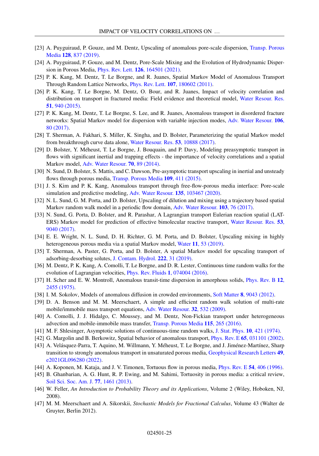- [23] [A. Puyguiraud, P. Gouze, and M. Dentz, Upscaling of anomalous pore-scale dispersion,](https://doi.org/10.1007/s11242-019-01273-3) Transp. Porous Media **128**, 837 (2019).
- [24] A. Puyguiraud, P. Gouze, and M. Dentz, Pore-Scale Mixing and the Evolution of Hydrodynamic Dispersion in Porous Media, Phys. Rev. Lett. **126**[, 164501 \(2021\).](https://doi.org/10.1103/PhysRevLett.126.164501)
- [25] P. K. Kang, M. Dentz, T. Le Borgne, and R. Juanes, Spatial Markov Model of Anomalous Transport Through Random Lattice Networks, Phys. Rev. Lett. **107**[, 180602 \(2011\).](https://doi.org/10.1103/PhysRevLett.107.180602)
- [26] P. K. Kang, T. Le Borgne, M. Dentz, O. Bour, and R. Juanes, Impact of velocity correlation and [distribution on transport in fractured media: Field evidence and theoretical model,](https://doi.org/10.1002/2014WR015799) Water Resour. Res. **51**, 940 (2015).
- [27] P. K. Kang, M. Dentz, T. Le Borgne, S. Lee, and R. Juanes, Anomalous transport in disordered fracture [networks: Spatial Markov model for dispersion with variable injection modes,](https://doi.org/10.1016/j.advwatres.2017.03.024) Adv. Water Resour. **106**, 80 (2017).
- [28] T. Sherman, A. Fakhari, S. Miller, K. Singha, and D. Bolster, Parameterizing the spatial Markov model from breakthrough curve data alone, [Water Resour. Res.](https://doi.org/10.1002/2017WR021810) **53**, 10888 (2017).
- [29] D. Bolster, Y. Méheust, T. Le Borgne, J. Bouquain, and P. Davy, Modeling preasymptotic transport in flows with significant inertial and trapping effects - the importance of velocity correlations and a spatial Markov model, [Adv. Water Resour.](https://doi.org/10.1016/j.advwatres.2014.04.014) **70**, 89 (2014).
- [30] N. Sund, D. Bolster, S. Mattis, and C. Dawson, Pre-asymptotic transport upscaling in inertial and unsteady flows through porous media, [Transp. Porous Media](https://doi.org/10.1007/s11242-015-0526-5) **109**, 411 (2015).
- [31] J. S. Kim and P. K. Kang, Anomalous transport through free-flow-porous media interface: Pore-scale simulation and predictive modeling, [Adv. Water Resour.](https://doi.org/10.1016/j.advwatres.2019.103467) **135**, 103467 (2020).
- [32] N. L. Sund, G. M. Porta, and D. Bolster, Upscaling of dilution and mixing using a trajectory based spatial Markov random walk model in a periodic flow domain, [Adv. Water Resour.](https://doi.org/10.1016/j.advwatres.2017.02.018) **103**, 76 (2017).
- [33] N. Sund, G. Porta, D. Bolster, and R. Parashar, A Lagrangian transport Eulerian reaction spatial (LAT-[ERS\) Markov model for prediction of effective bimolecular reactive transport,](https://doi.org/10.1002/2017WR020821) Water Resour. Res. **53**, 9040 (2017).
- [34] E. E. Wright, N. L. Sund, D. H. Richter, G. M. Porta, and D. Bolster, Upscaling mixing in highly heterogeneous porous media via a spatial Markov model, Water **11**[, 53 \(2019\).](https://doi.org/10.3390/w11010053)
- [35] T. Sherman, A. Paster, G. Porta, and D. Bolster, A spatial Markov model for upscaling transport of adsorbing-desorbing solutes, [J. Contam. Hydrol.](https://doi.org/10.1016/j.jconhyd.2019.02.003) **222**, 31 (2019).
- [36] M. Dentz, P. K. Kang, A. Comolli, T. Le Borgne, and D. R. Lester, Continuous time random walks for the evolution of Lagrangian velocities, [Phys. Rev. Fluids](https://doi.org/10.1103/PhysRevFluids.1.074004) **1**, 074004 (2016).
- [37] [H. Scher and E. W. Montroll, Anomalous transit-time dispersion in amorphous solids,](https://doi.org/10.1103/PhysRevB.12.2455) Phys. Rev. B **12**, 2455 (1975).
- [38] I. M. Sokolov, Models of anomalous diffusion in crowded environments, Soft Matter **8**[, 9043 \(2012\).](https://doi.org/10.1039/c2sm25701g)
- [39] D. A. Benson and M. M. Meerschaert, A simple and efficient random walk solution of multi-rate mobile/immobile mass transport equations, [Adv. Water Resour.](https://doi.org/10.1016/j.advwatres.2009.01.002) **32**, 532 (2009).
- [40] A. Comolli, J. J. Hidalgo, C. Moussey, and M. Dentz, Non-Fickian transport under heterogeneous advection and mobile-immobile mass transfer, [Transp. Porous Media](https://doi.org/10.1007/s11242-016-0727-6) **115**, 265 (2016).
- [41] M. F. Shlesinger, Asymptotic solutions of continuous-time random walks, [J. Stat. Phys.](https://doi.org/10.1007/BF01008803) **10**, 421 (1974).
- [42] G. Margolin and B. Berkowitz, Spatial behavior of anomalous transport, Phys. Rev. E **65**[, 031101 \(2002\).](https://doi.org/10.1103/PhysRevE.65.031101)
- [43] A. Velásquez-Parra, T. Aquino, M. Willmann, Y. Méheust, T. Le Borgne, and J. Jiménez-Martínez, Sharp [transition to strongly anomalous transport in unsaturated porous media,](https://doi.org/10.1029/2021GL096280) Geophysical Research Letters **49**, e2021GL096280 (2022).
- [44] A. Koponen, M. Kataja, and J. V. Timonen, Tortuous flow in porous media, [Phys. Rev. E](https://doi.org/10.1103/PhysRevE.54.406) **54**, 406 (1996).
- [45] B. Ghanbarian, A. G. Hunt, R. P. Ewing, and M. Sahimi, Tortuosity in porous media: a critical review, [Soil Sci. Soc. Am. J.](https://doi.org/10.2136/sssaj2012.0435) **77**, 1461 (2013).
- [46] W. Feller, *An Introduction to Probability Theory and its Applications*, Volume 2 (Wiley, Hoboken, NJ, 2008).
- [47] M. M. Meerschaert and A. Sikorskii, *Stochastic Models for Fractional Calculus*, Volume 43 (Walter de Gruyter, Berlin 2012).